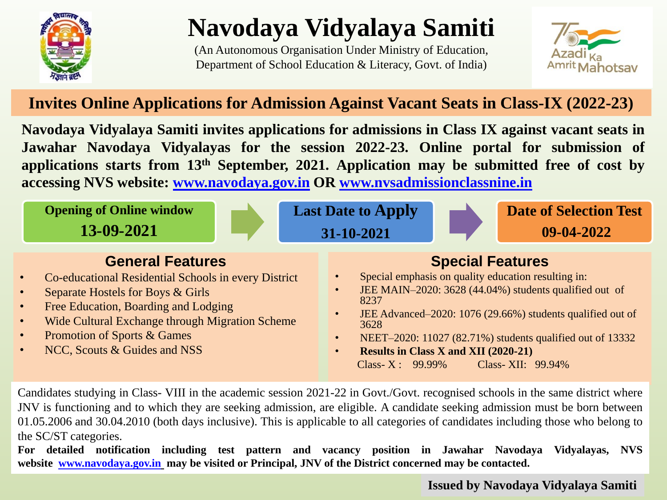

# **Navodaya Vidyalaya Samiti**

(An Autonomous Organisation Under Ministry of Education, Department of School Education & Literacy, Govt. of India)



## **Invites Online Applications for Admission Against Vacant Seats in Class-IX (2022-23)**

**Navodaya Vidyalaya Samiti invites applications for admissions in Class IX against vacant seats in Jawahar Navodaya Vidyalayas for the session 2022-23. Online portal for submission of applications starts from 13th September, 2021. Application may be submitted free of cost by accessing NVS website: [www.navodaya.gov.in](http://www.navodaya.gov.in/) OR [www.nvsadmissionclassnine.in](http://www.nvsadmissionclassnine.in/)**



Candidates studying in Class- VIII in the academic session 2021-22 in Govt./Govt. recognised schools in the same district where JNV is functioning and to which they are seeking admission, are eligible. A candidate seeking admission must be born between 01.05.2006 and 30.04.2010 (both days inclusive). This is applicable to all categories of candidates including those who belong to the SC/ST categories.

**For detailed notification including test pattern and vacancy position in Jawahar Navodaya Vidyalayas, NVS website [www.navodaya.gov.in](http://www.navodaya.gov.in/) may be visited or Principal, JNV of the District concerned may be contacted.**

**Issued by Navodaya Vidyalaya Samiti**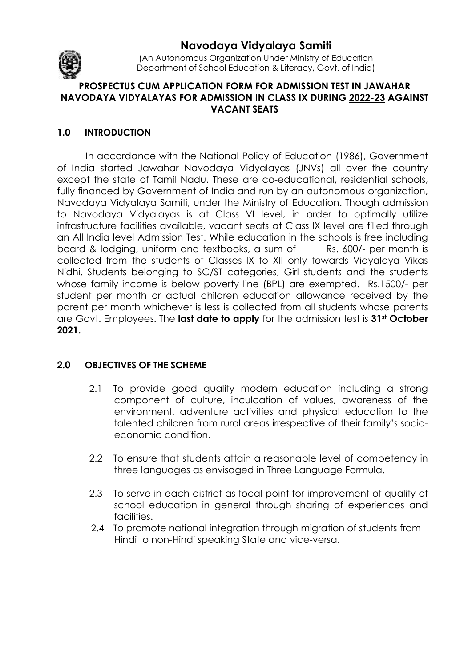

**Navodaya Vidyalaya Samiti** 

(An Autonomous Organization Under Ministry of Education Department of School Education & Literacy, Govt. of India)

#### **PROSPECTUS CUM APPLICATION FORM FOR ADMISSION TEST IN JAWAHAR NAVODAYA VIDYALAYAS FOR ADMISSION IN CLASS IX DURING 2022-23 AGAINST VACANT SEATS**

### **1.0 INTRODUCTION**

In accordance with the National Policy of Education (1986), Government of India started Jawahar Navodaya Vidyalayas (JNVs) all over the country except the state of Tamil Nadu. These are co-educational, residential schools, fully financed by Government of India and run by an autonomous organization, Navodaya Vidyalaya Samiti, under the Ministry of Education. Though admission to Navodaya Vidyalayas is at Class VI level, in order to optimally utilize infrastructure facilities available, vacant seats at Class IX level are filled through an All India level Admission Test. While education in the schools is free including board & lodging, uniform and textbooks, a sum of Rs. 600/- per month is collected from the students of Classes IX to XII only towards Vidyalaya Vikas Nidhi. Students belonging to SC/ST categories, Girl students and the students whose family income is below poverty line (BPL) are exempted. Rs.1500/- per student per month or actual children education allowance received by the parent per month whichever is less is collected from all students whose parents are Govt. Employees. The **last date to apply** for the admission test is **31st October 2021.** 

#### **2.0 OBJECTIVES OF THE SCHEME**

- 2.1 To provide good quality modern education including a strong component of culture, inculcation of values, awareness of the environment, adventure activities and physical education to the talented children from rural areas irrespective of their family's socioeconomic condition.
- 2.2 To ensure that students attain a reasonable level of competency in three languages as envisaged in Three Language Formula.
- 2.3 To serve in each district as focal point for improvement of quality of school education in general through sharing of experiences and facilities.
- 2.4 To promote national integration through migration of students from Hindi to non-Hindi speaking State and vice-versa.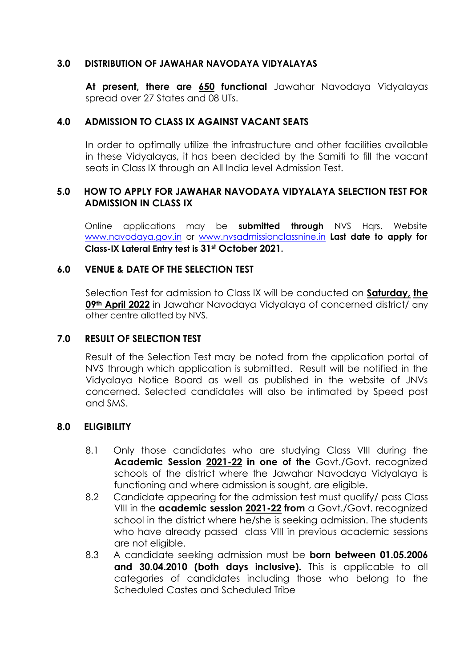#### **3.0 DISTRIBUTION OF JAWAHAR NAVODAYA VIDYALAYAS**

**At present, there are 650 functional** Jawahar Navodaya Vidyalayas spread over 27 States and 08 UTs.

#### **4.0 ADMISSION TO CLASS IX AGAINST VACANT SEATS**

In order to optimally utilize the infrastructure and other facilities available in these Vidyalayas, it has been decided by the Samiti to fill the vacant seats in Class IX through an All India level Admission Test.

#### **5.0 HOW TO APPLY FOR JAWAHAR NAVODAYA VIDYALAYA SELECTION TEST FOR ADMISSION IN CLASS IX**

Online applications may be **submitted through** NVS Hqrs. Website www.navodaya.gov.in or www.nvsadmissionclassnine.in **Last date to apply for Class-IX Lateral Entry test is 31st October 2021.** 

#### **6.0 VENUE & DATE OF THE SELECTION TEST**

Selection Test for admission to Class IX will be conducted on **Saturday, the 09th April 2022** in Jawahar Navodaya Vidyalaya of concerned district/ any other centre allotted by NVS.

#### **7.0 RESULT OF SELECTION TEST**

Result of the Selection Test may be noted from the application portal of NVS through which application is submitted. Result will be notified in the Vidyalaya Notice Board as well as published in the website of JNVs concerned. Selected candidates will also be intimated by Speed post and SMS.

#### **8.0 ELIGIBILITY**

- 8.1 Only those candidates who are studying Class VIII during the **Academic Session 2021-22 in one of the** Govt./Govt. recognized schools of the district where the Jawahar Navodaya Vidyalaya is functioning and where admission is sought, are eligible.
- 8.2 Candidate appearing for the admission test must qualify/ pass Class VIII in the **academic session 2021-22 from** a Govt./Govt. recognized school in the district where he/she is seeking admission. The students who have already passed class VIII in previous academic sessions are not eligible.
- 8.3 A candidate seeking admission must be **born between 01.05.2006 and 30.04.2010 (both days inclusive).** This is applicable to all categories of candidates including those who belong to the Scheduled Castes and Scheduled Tribe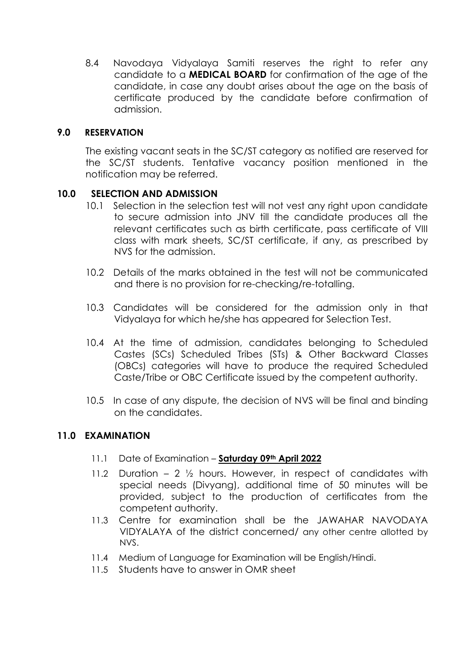8.4 Navodaya Vidyalaya Samiti reserves the right to refer any candidate to a **MEDICAL BOARD** for confirmation of the age of the candidate, in case any doubt arises about the age on the basis of certificate produced by the candidate before confirmation of admission.

#### **9.0 RESERVATION**

The existing vacant seats in the SC/ST category as notified are reserved for the SC/ST students. Tentative vacancy position mentioned in the notification may be referred.

#### **10.0 SELECTION AND ADMISSION**

- 10.1 Selection in the selection test will not vest any right upon candidate to secure admission into JNV till the candidate produces all the relevant certificates such as birth certificate, pass certificate of VIII class with mark sheets, SC/ST certificate, if any, as prescribed by NVS for the admission.
- 10.2 Details of the marks obtained in the test will not be communicated and there is no provision for re-checking/re-totalling.
- 10.3 Candidates will be considered for the admission only in that Vidyalaya for which he/she has appeared for Selection Test.
- 10.4 At the time of admission, candidates belonging to Scheduled Castes (SCs) Scheduled Tribes (STs) & Other Backward Classes (OBCs) categories will have to produce the required Scheduled Caste/Tribe or OBC Certificate issued by the competent authority.
- 10.5 In case of any dispute, the decision of NVS will be final and binding on the candidates.

#### **11.0 EXAMINATION**

- 11.1 Date of Examination **Saturday 09th April 2022**
- 11.2 Duration 2  $\frac{1}{2}$  hours. However, in respect of candidates with special needs (Divyang), additional time of 50 minutes will be provided, subject to the production of certificates from the competent authority.
- 11.3 Centre for examination shall be the JAWAHAR NAVODAYA VIDYALAYA of the district concerned/ any other centre allotted by NVS.
- 11.4 Medium of Language for Examination will be English/Hindi.
- 11.5 Students have to answer in OMR sheet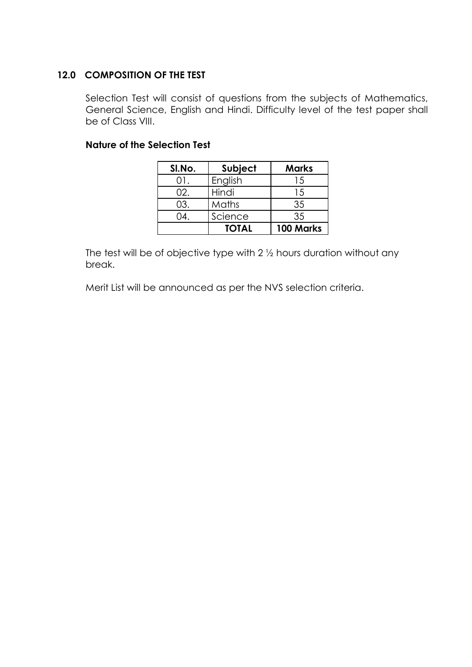### **12.0 COMPOSITION OF THE TEST**

Selection Test will consist of questions from the subjects of Mathematics, General Science, English and Hindi. Difficulty level of the test paper shall be of Class VIII.

#### **Nature of the Selection Test**

| SI.No. | Subject      | <b>Marks</b> |
|--------|--------------|--------------|
| ( ) 1. | English      | 15           |
| 02.    | Hindi        | 15           |
| 03.    | Maths        | 35           |
| 04.    | Science      | 35           |
|        | <b>TOTAL</b> | 100 Marks    |

The test will be of objective type with 2 ½ hours duration without any break.

Merit List will be announced as per the NVS selection criteria.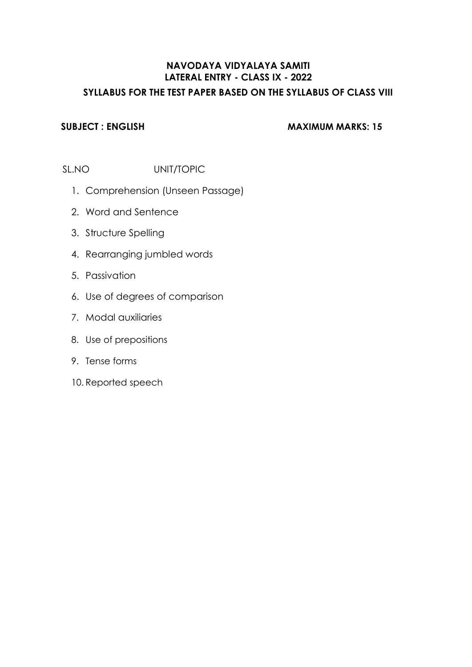### **NAVODAYA VIDYALAYA SAMITI LATERAL ENTRY - CLASS IX - 2022 SYLLABUS FOR THE TEST PAPER BASED ON THE SYLLABUS OF CLASS VIII**

#### **SUBJECT : ENGLISH MAXIMUM MARKS: 15**

SL.NO UNIT/TOPIC

- 1. Comprehension (Unseen Passage)
- 2. Word and Sentence
- 3. Structure Spelling
- 4. Rearranging jumbled words
- 5. Passivation
- 6. Use of degrees of comparison
- 7. Modal auxiliaries
- 8. Use of prepositions
- 9. Tense forms
- 10. Reported speech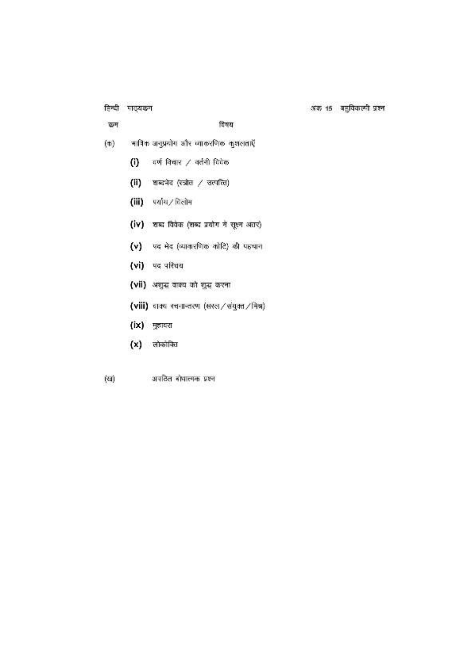हिन्दी पाठ्यक्रम

कम

विषय

- $(\Phi)$ - मात्रिक अनुप्रयोग और व्याकरणिक कुशलताएँ
	- (i) वर्ण विचार / वर्तनी विवेक
	- (ii) शब्दभेद (रत्रोत / जत्पत्ति)
	- (iii) पर्याय/विलोम
	- (iv) शब्द विवेक (शब्द प्रयोग में सूक्ष्म अंतर)
	- $(v)$  पद भेद (व्याकरणिक कोटि) की पहचान
	- (vi) पद परिचय
	- (vii) अशुन्द वाक्य को शुन्द करना
	- (viii) चाक रचनान्तरण (सरल/संयुक्त/निश्र)
	- (ix) मुझावरा
	- $(x)$  लोकोक्ति
- (60) अपठित बोधात्मक प्रश्न

अक 15 बहुविकल्पी प्रश्न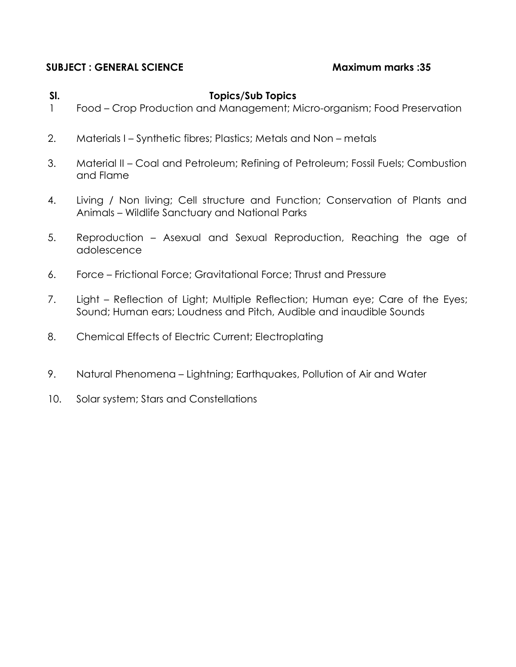#### **SUBJECT : GENERAL SCIENCE Maximum marks :35**

#### **Sl. Topics/Sub Topics**

- 1 Food Crop Production and Management; Micro-organism; Food Preservation
- 2. Materials I Synthetic fibres; Plastics; Metals and Non metals
- 3. Material II Coal and Petroleum; Refining of Petroleum; Fossil Fuels; Combustion and Flame
- 4. Living / Non living; Cell structure and Function; Conservation of Plants and Animals – Wildlife Sanctuary and National Parks
- 5. Reproduction Asexual and Sexual Reproduction, Reaching the age of adolescence
- 6. Force Frictional Force; Gravitational Force; Thrust and Pressure
- 7. Light Reflection of Light; Multiple Reflection; Human eye; Care of the Eyes; Sound; Human ears; Loudness and Pitch, Audible and inaudible Sounds
- 8. Chemical Effects of Electric Current; Electroplating
- 9. Natural Phenomena Lightning; Earthquakes, Pollution of Air and Water
- 10. Solar system; Stars and Constellations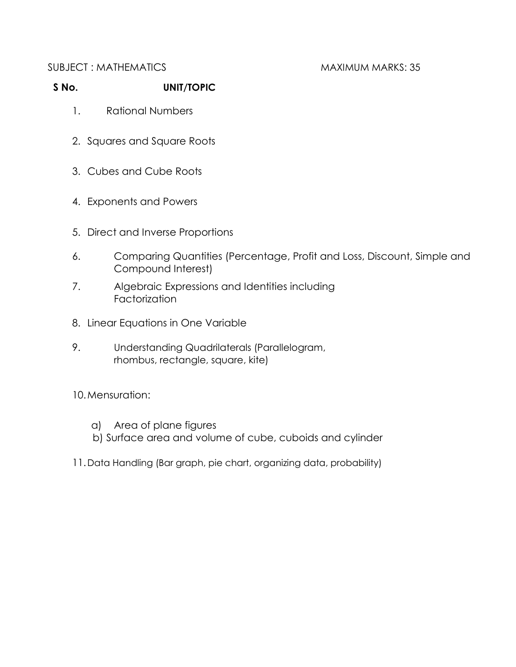#### SUBJECT : MATHEMATICS MAXIMUM MARKS: 35

### **S No. UNIT/TOPIC**

- 1. Rational Numbers
- 2. Squares and Square Roots
- 3. Cubes and Cube Roots
- 4. Exponents and Powers
- 5. Direct and Inverse Proportions
- 6. Comparing Quantities (Percentage, Profit and Loss, Discount, Simple and Compound Interest)
- 7. Algebraic Expressions and Identities including **Factorization**
- 8. Linear Equations in One Variable
- 9. Understanding Quadrilaterals (Parallelogram, rhombus, rectangle, square, kite)

#### 10.Mensuration:

- a) Area of plane figures
- b) Surface area and volume of cube, cuboids and cylinder
- 11.Data Handling (Bar graph, pie chart, organizing data, probability)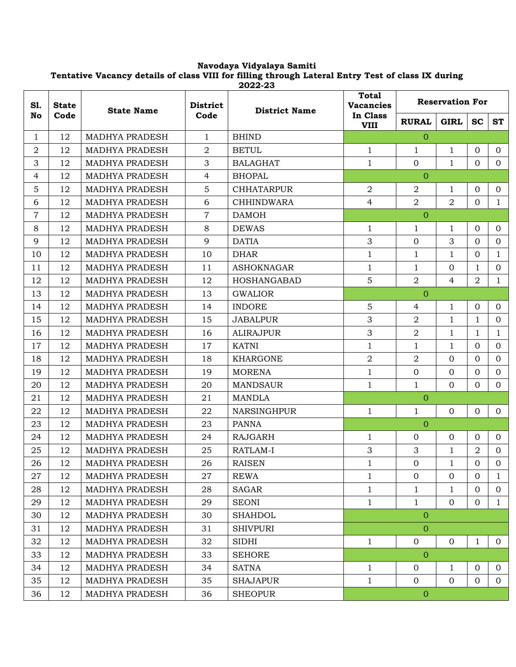#### **Navodaya Vidyalaya Samiti Tentative Vacancy details of class VIII for filling through Lateral Entry Test of class IX during 2022-23**

| S1.<br><b>State</b> | <b>State Name</b> |                       | <b>District</b><br><b>District Name</b> | <b>Total</b><br><b>Vacancies</b> | <b>Reservation For</b>  |                  |                |                |                |
|---------------------|-------------------|-----------------------|-----------------------------------------|----------------------------------|-------------------------|------------------|----------------|----------------|----------------|
| No                  | Code              |                       | Code                                    |                                  | In Class<br><b>VIII</b> | <b>RURAL</b>     | <b>GIRL</b>    | <b>SC</b>      | <b>ST</b>      |
| $\mathbf{1}$        | 12                | MADHYA PRADESH        | $\mathbf{1}$                            | <b>BHIND</b>                     |                         | $\Omega$         |                |                |                |
| $\overline{a}$      | 12                | <b>MADHYA PRADESH</b> | $\overline{2}$                          | <b>BETUL</b>                     | $\mathbf{1}$            | 1                | 1              | $\Omega$       | $\overline{0}$ |
| 3                   | 12                | <b>MADHYA PRADESH</b> | $\mathfrak{Z}$                          | <b>BALAGHAT</b>                  | $\mathbf{1}$            | $\overline{0}$   | $\mathbf{1}$   | $\overline{0}$ | $\overline{0}$ |
| 4                   | 12                | MADHYA PRADESH        | $\overline{4}$                          | <b>BHOPAL</b>                    |                         | $\Omega$         |                |                |                |
| 5                   | 12                | MADHYA PRADESH        | 5                                       | <b>CHHATARPUR</b>                | $\overline{2}$          | $\overline{2}$   | $\mathbf{1}$   | $\Omega$       | $\overline{0}$ |
| 6                   | 12                | MADHYA PRADESH        | 6                                       | <b>CHHINDWARA</b>                | $\overline{4}$          | $\overline{2}$   | $\overline{2}$ | $\Omega$       | $\mathbf{1}$   |
| $\overline{7}$      | 12                | <b>MADHYA PRADESH</b> | $\overline{7}$                          | <b>DAMOH</b>                     |                         | $\overline{0}$   |                |                |                |
| 8                   | 12                | MADHYA PRADESH        | 8                                       | <b>DEWAS</b>                     | $\mathbf{1}$            | 1                | $\mathbf{1}$   | $\Omega$       | $\overline{0}$ |
| 9                   | 12                | <b>MADHYA PRADESH</b> | 9                                       | <b>DATIA</b>                     | 3                       | $\mathbf 0$      | 3              | $\Omega$       | $\Omega$       |
| 10                  | 12                | <b>MADHYA PRADESH</b> | 10                                      | <b>DHAR</b>                      | $\mathbf{1}$            | $\mathbf{1}$     | $\mathbf{1}$   | 0              | $\mathbf{1}$   |
| 11                  | 12                | MADHYA PRADESH        | 11                                      | <b>ASHOKNAGAR</b>                | $\mathbf{1}$            | $\mathbf{1}$     | $\overline{0}$ | $\mathbf{1}$   | $\overline{0}$ |
| 12                  | 12                | <b>MADHYA PRADESH</b> | 12                                      | HOSHANGABAD                      | 5                       | $\overline{a}$   | $\overline{4}$ | $\overline{2}$ | $\mathbf{1}$   |
| 13                  | 12                | MADHYA PRADESH        | 13                                      | <b>GWALIOR</b>                   |                         | $\overline{0}$   |                |                |                |
| 14                  | 12                | <b>MADHYA PRADESH</b> | 14                                      | <b>INDORE</b>                    | 5                       | $\overline{4}$   | $\mathbf{1}$   | 0              | $\overline{0}$ |
| 15                  | 12                | MADHYA PRADESH        | 15                                      | <b>JABALPUR</b>                  | 3                       | $\overline{2}$   | $\mathbf{1}$   | $\mathbf{1}$   | $\overline{0}$ |
| 16                  | 12                | <b>MADHYA PRADESH</b> | 16                                      | <b>ALIRAJPUR</b>                 | 3                       | $\overline{a}$   | $\mathbf{1}$   | 1              | $\mathbf{1}$   |
| 17                  | 12                | <b>MADHYA PRADESH</b> | 17                                      | KATNI                            | $\mathbf{1}$            | $\mathbf{1}$     | $\mathbf{1}$   | $\Omega$       | $\overline{0}$ |
| 18                  | 12                | MADHYA PRADESH        | 18                                      | <b>KHARGONE</b>                  | $\overline{2}$          | $\overline{2}$   | $\overline{0}$ | $\Omega$       | $\overline{0}$ |
| 19                  | 12                | MADHYA PRADESH        | 19                                      | <b>MORENA</b>                    | $1\,$                   | $\mathbf{0}$     | $\overline{0}$ | 0              | $\overline{0}$ |
| 20                  | 12                | <b>MADHYA PRADESH</b> | 20                                      | <b>MANDSAUR</b>                  | $\mathbf{1}$            | $\mathbf{1}$     | $\overline{0}$ | $\Omega$       | $\Omega$       |
| 21                  | 12                | <b>MADHYA PRADESH</b> | 21                                      | MANDLA                           |                         | $\overline{0}$   |                |                |                |
| 22                  | 12                | MADHYA PRADESH        | 22                                      | NARSINGHPUR                      | $\mathbf{1}$            | $\mathbf{1}$     | $\overline{0}$ | $\overline{0}$ | $\overline{0}$ |
| 23                  | 12                | <b>MADHYA PRADESH</b> | 23                                      | <b>PANNA</b>                     |                         | $\overline{O}$   |                |                |                |
| 24                  | 12                | <b>MADHYA PRADESH</b> | 24                                      | <b>RAJGARH</b>                   | $\mathbf{1}$            | $\mathbf 0$      | $\overline{0}$ | $\overline{O}$ | $\overline{0}$ |
| 25                  | 12                | MADHYA PRADESH        | 25                                      | RATLAM-I                         | 3                       | 3                | $\mathbf{1}$   | $\overline{2}$ | $\overline{0}$ |
| 26                  | 12                | MADHYA PRADESH        | 26                                      | <b>RAISEN</b>                    | $\mathbf{1}$            | $\mathbf{0}$     | 1              | $\Omega$       | $\Omega$       |
| 27                  | 12                | MADHYA PRADESH        | 27                                      | <b>REWA</b>                      | $\mathbf{1}$            | $\overline{0}$   | $\overline{0}$ | $\Omega$       | $\mathbf{1}$   |
| 28                  | 12                | <b>MADHYA PRADESH</b> | 28                                      | SAGAR                            | $\mathbf{1}$            | $\mathbf{1}$     | $\mathbf{1}$   | 0              | $\overline{0}$ |
| 29                  | 12                | MADHYA PRADESH        | 29                                      | <b>SEONI</b>                     | $\mathbf{1}$            | $\mathbf{1}$     | $\overline{0}$ | $\overline{0}$ | $\mathbf{1}$   |
| 30                  | 12                | MADHYA PRADESH        | 30                                      | <b>SHAHDOL</b>                   |                         | $\overline{0}$   |                |                |                |
| 31                  | 12                | MADHYA PRADESH        | 31                                      | <b>SHIVPURI</b>                  |                         | $\overline{O}$   |                |                |                |
| 32                  | 12                | MADHYA PRADESH        | 32                                      | <b>SIDHI</b>                     | $\mathbf{1}$            | $\mathbf{0}$     | $\overline{0}$ | $\mathbf{1}$   | $\overline{0}$ |
| 33                  | 12                | MADHYA PRADESH        | 33                                      | <b>SEHORE</b>                    |                         | $\overline{0}$   |                |                |                |
| 34                  | 12                | MADHYA PRADESH        | 34                                      | <b>SATNA</b>                     | $\mathbf{1}$            | $\mathbf{0}$     | $\mathbf{1}$   | $\Omega$       | $\overline{0}$ |
| 35                  | 12                | <b>MADHYA PRADESH</b> | 35                                      | <b>SHAJAPUR</b>                  | $\mathbf{1}$            | $\overline{0}$   | $\overline{0}$ | $\overline{0}$ | $\overline{0}$ |
| 36                  | 12                | MADHYA PRADESH        | 36                                      | <b>SHEOPUR</b>                   |                         | $\boldsymbol{0}$ |                |                |                |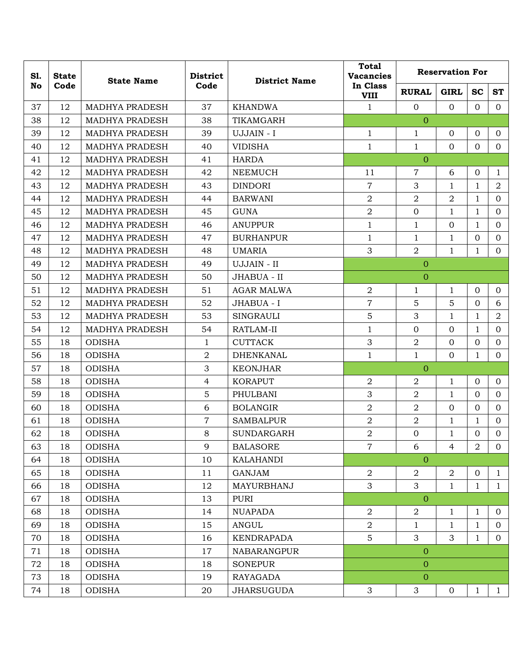| S1. | <b>State</b> | <b>State Name</b>     | <b>District</b> | <b>District Name</b> | <b>Total</b><br><b>Vacancies</b> | <b>Reservation For</b> |                |                |                |  |
|-----|--------------|-----------------------|-----------------|----------------------|----------------------------------|------------------------|----------------|----------------|----------------|--|
| No  | Code         |                       | Code            |                      | In Class<br><b>VIII</b>          | <b>RURAL</b>           | <b>GIRL</b>    | <b>SC</b>      | <b>ST</b>      |  |
| 37  | 12           | MADHYA PRADESH        | 37              | <b>KHANDWA</b>       | $\mathbf{1}$                     | $\overline{0}$         | $\Omega$       | $\Omega$       | $\Omega$       |  |
| 38  | 12           | MADHYA PRADESH        | 38              | TIKAMGARH            |                                  | $\overline{0}$         |                |                |                |  |
| 39  | 12           | MADHYA PRADESH        | 39              | UJJAIN - I           | $\mathbf{1}$                     | $\mathbf 1$            | $\overline{0}$ | $\mathbf{0}$   | $\overline{0}$ |  |
| 40  | 12           | <b>MADHYA PRADESH</b> | 40              | <b>VIDISHA</b>       | $\mathbf{1}$                     | $\mathbf{1}$           | $\Omega$       | $\Omega$       | $\overline{0}$ |  |
| 41  | 12           | MADHYA PRADESH        | 41              | <b>HARDA</b>         |                                  | $\overline{O}$         |                |                |                |  |
| 42  | 12           | <b>MADHYA PRADESH</b> | 42              | <b>NEEMUCH</b>       | 11                               | $\overline{7}$         | 6              | $\mathbf{0}$   | $\mathbf{1}$   |  |
| 43  | 12           | MADHYA PRADESH        | 43              | <b>DINDORI</b>       | $\overline{7}$                   | 3                      | $\mathbf{1}$   | $\mathbf{1}$   | $\overline{2}$ |  |
| 44  | 12           | MADHYA PRADESH        | 44              | <b>BARWANI</b>       | $\overline{2}$                   | $\overline{2}$         | $\overline{a}$ | $\mathbf{1}$   | $\overline{0}$ |  |
| 45  | 12           | MADHYA PRADESH        | 45              | <b>GUNA</b>          | $\overline{2}$                   | $\overline{0}$         | $\mathbf{1}$   | $\mathbf{1}$   | $\mathbf{0}$   |  |
| 46  | 12           | <b>MADHYA PRADESH</b> | 46              | <b>ANUPPUR</b>       | $\mathbf{1}$                     | $\mathbf{1}$           | $\Omega$       | $\mathbf{1}$   | $\mathbf{0}$   |  |
| 47  | 12           | <b>MADHYA PRADESH</b> | 47              | <b>BURHANPUR</b>     | $\mathbf{1}$                     | 1                      | $\mathbf{1}$   | $\overline{0}$ | $\overline{0}$ |  |
| 48  | 12           | MADHYA PRADESH        | 48              | <b>UMARIA</b>        | 3                                | $\overline{2}$         | $\mathbf{1}$   | $\mathbf{1}$   | $\overline{0}$ |  |
| 49  | 12           | <b>MADHYA PRADESH</b> | 49              | UJJAIN - II          |                                  | $\mathbf{0}$           |                |                |                |  |
| 50  | 12           | <b>MADHYA PRADESH</b> | 50              | JHABUA - II          |                                  | $\overline{0}$         |                |                |                |  |
| 51  | 12           | <b>MADHYA PRADESH</b> | 51              | <b>AGAR MALWA</b>    | $\overline{2}$                   | $\mathbf{1}$           | $\mathbf{1}$   | $\overline{0}$ | $\overline{0}$ |  |
| 52  | 12           | <b>MADHYA PRADESH</b> | 52              | JHABUA - I           | $\overline{7}$                   | 5                      | 5              | $\overline{0}$ | 6              |  |
| 53  | 12           | <b>MADHYA PRADESH</b> | 53              | <b>SINGRAULI</b>     | 5                                | 3                      | $\mathbf{1}$   | $\mathbf{1}$   | $\overline{2}$ |  |
| 54  | 12           | MADHYA PRADESH        | 54              | RATLAM-II            | $\mathbf{1}$                     | $\mathbf{0}$           | $\mathbf{0}$   | $\mathbf{1}$   | $\mathbf{0}$   |  |
| 55  | 18           | <b>ODISHA</b>         | $\mathbf{1}$    | <b>CUTTACK</b>       | 3                                | $\overline{a}$         | $\Omega$       | $\mathbf{0}$   | $\mathbf{0}$   |  |
| 56  | 18           | <b>ODISHA</b>         | $\overline{2}$  | <b>DHENKANAL</b>     | $\mathbf{1}$                     | $\mathbf{1}$           | $\Omega$       | $\mathbf{1}$   | $\mathbf{0}$   |  |
| 57  | 18           | <b>ODISHA</b>         | $\mathfrak{Z}$  | <b>KEONJHAR</b>      |                                  | $\overline{0}$         |                |                |                |  |
| 58  | 18           | <b>ODISHA</b>         | $\overline{4}$  | <b>KORAPUT</b>       | $\overline{2}$                   | $\overline{a}$         | $\mathbf{1}$   | $\Omega$       | $\mathbf{0}$   |  |
| 59  | 18           | <b>ODISHA</b>         | 5               | PHULBANI             | 3                                | $\overline{a}$         | $\mathbf{1}$   | $\Omega$       | $\overline{0}$ |  |
| 60  | 18           | <b>ODISHA</b>         | 6               | <b>BOLANGIR</b>      | $\overline{2}$                   | $\overline{2}$         | $\Omega$       | $\mathbf{0}$   | $\overline{0}$ |  |
| 61  | 18           | <b>ODISHA</b>         | $\overline{7}$  | <b>SAMBALPUR</b>     | $\overline{2}$                   | $\overline{a}$         | $\mathbf{1}$   | $\mathbf{1}$   | $\overline{0}$ |  |
| 62  | 18           | <b>ODISHA</b>         | 8               | <b>SUNDARGARH</b>    | $\overline{2}$                   | $\overline{0}$         | $\mathbf{1}$   | $\mathbf{0}$   | $\overline{0}$ |  |
| 63  | 18           | <b>ODISHA</b>         | 9               | <b>BALASORE</b>      | $\overline{7}$                   | 6                      | $\overline{4}$ | 2              | $\overline{0}$ |  |
| 64  | 18           | <b>ODISHA</b>         | 10              | <b>KALAHANDI</b>     |                                  | $\overline{0}$         |                |                |                |  |
| 65  | 18           | <b>ODISHA</b>         | 11              | <b>GANJAM</b>        | $\overline{2}$                   | $\overline{2}$         | $\overline{a}$ | $\mathbf{0}$   | $\mathbf{1}$   |  |
| 66  | 18           | <b>ODISHA</b>         | 12              | MAYURBHANJ           | 3                                | 3                      | $\mathbf{1}$   | $\mathbf{1}$   | $\mathbf{1}$   |  |
| 67  | 18           | <b>ODISHA</b>         | 13              | <b>PURI</b>          |                                  | $\overline{0}$         |                |                |                |  |
| 68  | 18           | <b>ODISHA</b>         | 14              | <b>NUAPADA</b>       | $\overline{a}$                   | $\overline{a}$         | $\mathbf{1}$   | $\mathbf{1}$   | $\overline{0}$ |  |
| 69  | 18           | <b>ODISHA</b>         | 15              | <b>ANGUL</b>         | $\overline{2}$                   | $\mathbf{1}$           | $\mathbf{1}$   | $\mathbf{1}$   | $\overline{0}$ |  |
| 70  | 18           | <b>ODISHA</b>         | 16              | KENDRAPADA           | 5                                | 3                      | 3              | $\mathbf{1}$   | $\overline{0}$ |  |
| 71  | 18           | <b>ODISHA</b>         | 17              | <b>NABARANGPUR</b>   |                                  | $\mathbf{O}$           |                |                |                |  |
| 72  | 18           | <b>ODISHA</b>         | 18              | <b>SONEPUR</b>       |                                  | $\overline{0}$         |                |                |                |  |
| 73  | 18           | <b>ODISHA</b>         | 19              | RAYAGADA             |                                  | $\overline{0}$         |                |                |                |  |
| 74  | 18           | <b>ODISHA</b>         | 20              | <b>JHARSUGUDA</b>    | 3                                | $\mathfrak{S}$         | $\mathbf 0$    | $\mathbf{1}$   | $\mathbf{1}$   |  |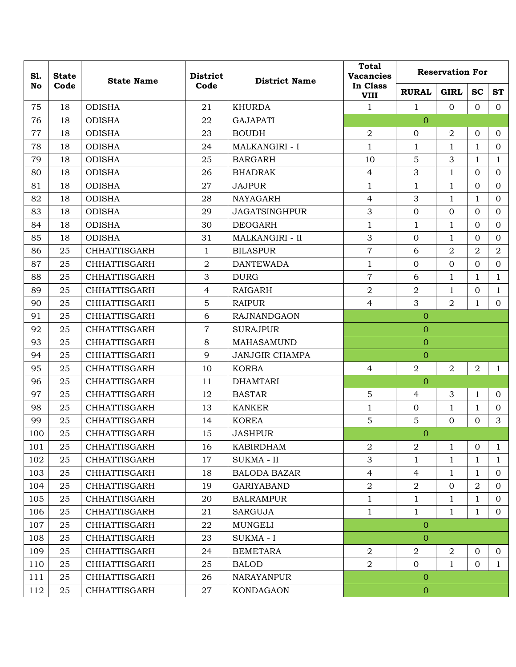| S1. | <b>State</b> | <b>State Name</b>   | <b>District</b>  | <b>District Name</b>   | <b>Total</b><br><b>Vacancies</b> | <b>Reservation For</b> |                |                |                |  |  |
|-----|--------------|---------------------|------------------|------------------------|----------------------------------|------------------------|----------------|----------------|----------------|--|--|
| No  | Code         |                     | Code             |                        | In Class<br><b>VIII</b>          | <b>RURAL</b>           | <b>GIRL</b>    | <b>SC</b>      | <b>ST</b>      |  |  |
| 75  | 18           | <b>ODISHA</b>       | 21               | <b>KHURDA</b>          | $\mathbf{1}$                     | $\mathbf{1}$           | $\Omega$       | $\Omega$       | $\Omega$       |  |  |
| 76  | 18           | <b>ODISHA</b>       | 22               | <b>GAJAPATI</b>        |                                  | $\overline{0}$         |                |                |                |  |  |
| 77  | 18           | <b>ODISHA</b>       | 23               | <b>BOUDH</b>           | $\overline{2}$                   | $\overline{0}$         | $\overline{2}$ | $\overline{0}$ | $\overline{0}$ |  |  |
| 78  | 18           | <b>ODISHA</b>       | 24               | <b>MALKANGIRI - I</b>  | $\mathbf{1}$                     | $\mathbf{1}$           | $\mathbf{1}$   | $\mathbf{1}$   | $\overline{0}$ |  |  |
| 79  | 18           | <b>ODISHA</b>       | 25               | <b>BARGARH</b>         | 10                               | 5                      | 3              | $\mathbf{1}$   | $\mathbf{1}$   |  |  |
| 80  | 18           | <b>ODISHA</b>       | 26               | <b>BHADRAK</b>         | $\overline{4}$                   | 3                      | $\mathbf{1}$   | $\Omega$       | $\overline{0}$ |  |  |
| 81  | 18           | <b>ODISHA</b>       | 27               | <b>JAJPUR</b>          | $\mathbf 1$                      | $\mathbf{1}$           | $\mathbf{1}$   | $\Omega$       | $\overline{0}$ |  |  |
| 82  | 18           | <b>ODISHA</b>       | 28               | <b>NAYAGARH</b>        | $\overline{4}$                   | 3                      | $\mathbf{1}$   | $\mathbf{1}$   | $\Omega$       |  |  |
| 83  | 18           | <b>ODISHA</b>       | 29               | <b>JAGATSINGHPUR</b>   | 3                                | $\overline{0}$         | $\mathbf{0}$   | $\mathbf{O}$   | $\overline{0}$ |  |  |
| 84  | 18           | <b>ODISHA</b>       | 30               | <b>DEOGARH</b>         | $\mathbf{1}$                     | 1                      | $\mathbf{1}$   | $\Omega$       | $\overline{0}$ |  |  |
| 85  | 18           | <b>ODISHA</b>       | 31               | <b>MALKANGIRI - II</b> | 3                                | $\overline{0}$         | 1              | $\Omega$       | $\overline{0}$ |  |  |
| 86  | 25           | <b>CHHATTISGARH</b> | $\mathbf{1}$     | <b>BILASPUR</b>        | $\overline{7}$                   | 6                      | $\overline{2}$ | $\overline{2}$ | $\overline{a}$ |  |  |
| 87  | 25           | <b>CHHATTISGARH</b> | $\boldsymbol{2}$ | <b>DANTEWADA</b>       | $\mathbf{1}$                     | $\mathbf{0}$           | $\mathbf{0}$   | $\Omega$       | $\overline{0}$ |  |  |
| 88  | 25           | <b>CHHATTISGARH</b> | 3                | <b>DURG</b>            | $\overline{7}$                   | 6                      | $\mathbf{1}$   | 1              | $\mathbf{1}$   |  |  |
| 89  | 25           | <b>CHHATTISGARH</b> | $\overline{4}$   | <b>RAIGARH</b>         | $\overline{2}$                   | $\overline{2}$         | $\mathbf{1}$   | $\overline{0}$ | $\mathbf{1}$   |  |  |
| 90  | 25           | <b>CHHATTISGARH</b> | $\overline{5}$   | <b>RAIPUR</b>          | $\overline{4}$                   | 3                      | $\overline{2}$ | $\mathbf{1}$   | $\overline{0}$ |  |  |
| 91  | 25           | <b>CHHATTISGARH</b> | 6                | <b>RAJNANDGAON</b>     |                                  | $\overline{0}$         |                |                |                |  |  |
| 92  | 25           | <b>CHHATTISGARH</b> | $\overline{7}$   | <b>SURAJPUR</b>        |                                  | $\overline{0}$         |                |                |                |  |  |
| 93  | 25           | CHHATTISGARH        | 8                | MAHASAMUND             |                                  | $\theta$               |                |                |                |  |  |
| 94  | 25           | <b>CHHATTISGARH</b> | 9                | <b>JANJGIR CHAMPA</b>  |                                  | $\overline{0}$         |                |                |                |  |  |
| 95  | 25           | <b>CHHATTISGARH</b> | 10               | <b>KORBA</b>           | $\overline{4}$                   | $\overline{2}$         | $\overline{2}$ | $\overline{2}$ | $\mathbf{1}$   |  |  |
| 96  | 25           | <b>CHHATTISGARH</b> | 11               | <b>DHAMTARI</b>        |                                  | $\overline{0}$         |                |                |                |  |  |
| 97  | 25           | <b>CHHATTISGARH</b> | 12               | <b>BASTAR</b>          | 5                                | $\overline{4}$         | 3              | $\mathbf{1}$   | $\overline{0}$ |  |  |
| 98  | 25           | CHHATTISGARH        | 13               | <b>KANKER</b>          | $\mathbf 1$                      | $\overline{0}$         | $\mathbf{1}$   | $\mathbf{1}$   | $\overline{0}$ |  |  |
| 99  | 25           | <b>CHHATTISGARH</b> | 14               | <b>KOREA</b>           | 5                                | $\mathbf 5$            | $\mathbf{0}$   | $\Omega$       | 3              |  |  |
| 100 | 25           | <b>CHHATTISGARH</b> | 15               | <b>JASHPUR</b>         |                                  | $\mathbf{0}$           |                |                |                |  |  |
| 101 | 25           | CHHATTISGARH        | 16               | <b>KABIRDHAM</b>       | $\overline{a}$                   | $\overline{2}$         | $\mathbf{1}$   | $\overline{0}$ | $\mathbf{1}$   |  |  |
| 102 | 25           | CHHATTISGARH        | 17               | SUKMA - II             | 3                                | $\mathbf{1}$           | $\mathbf 1$    | $\mathbf{1}$   | $\mathbf{1}$   |  |  |
| 103 | 25           | CHHATTISGARH        | 18               | <b>BALODA BAZAR</b>    | $\overline{4}$                   | $\overline{4}$         | $\mathbf{1}$   | $\mathbf{1}$   | $\overline{0}$ |  |  |
| 104 | 25           | CHHATTISGARH        | 19               | <b>GARIYABAND</b>      | $\overline{2}$                   | $\overline{a}$         | $\mathbf 0$    | $\overline{a}$ | $\Omega$       |  |  |
| 105 | 25           | CHHATTISGARH        | 20               | <b>BALRAMPUR</b>       | $\mathbf{1}$                     | $\mathbf{1}$           | $\mathbf{1}$   | $\mathbf{1}$   | $\mathbf{0}$   |  |  |
| 106 | 25           | CHHATTISGARH        | 21               | <b>SARGUJA</b>         | $\mathbf{1}$                     | $\mathbf{1}$           | $\mathbf{1}$   | $\mathbf{1}$   | $\overline{0}$ |  |  |
| 107 | 25           | CHHATTISGARH        | 22               | <b>MUNGELI</b>         |                                  | $\mathbf{0}$           |                |                |                |  |  |
| 108 | 25           | CHHATTISGARH        | 23               | SUKMA - I              |                                  | $\overline{0}$         |                |                |                |  |  |
| 109 | 25           | CHHATTISGARH        | 24               | <b>BEMETARA</b>        | $\overline{2}$                   | $\boldsymbol{2}$       | $\overline{2}$ | $\overline{0}$ | $\overline{0}$ |  |  |
| 110 | 25           | CHHATTISGARH        | 25               | <b>BALOD</b>           | $\overline{2}$                   | $\overline{0}$         | $\mathbf{1}$   | $\overline{0}$ | $\mathbf{1}$   |  |  |
| 111 | 25           | CHHATTISGARH        | 26               | <b>NARAYANPUR</b>      |                                  | $\overline{0}$         |                |                |                |  |  |
| 112 | 25           | CHHATTISGARH        | 27               | KONDAGAON              |                                  | $\mathbf{O}$           |                |                |                |  |  |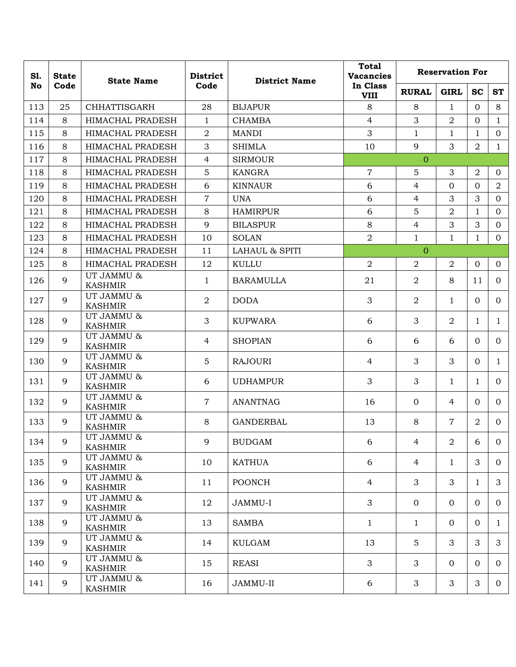| S1.<br><b>State</b> |      | <b>State Name</b>               | <b>District</b> | <b>District Name</b>      | <b>Total</b><br><b>Vacancies</b> | <b>Reservation For</b> |                |                |                |  |
|---------------------|------|---------------------------------|-----------------|---------------------------|----------------------------------|------------------------|----------------|----------------|----------------|--|
| No                  | Code |                                 | Code            |                           | In Class<br><b>VIII</b>          | <b>RURAL</b>           | <b>GIRL</b>    | <b>SC</b>      | <b>ST</b>      |  |
| 113                 | 25   | <b>CHHATTISGARH</b>             | 28              | <b>BIJAPUR</b>            | 8                                | 8                      | $\mathbf{1}$   | $\Omega$       | 8              |  |
| 114                 | 8    | HIMACHAL PRADESH                | $\mathbf{1}$    | <b>CHAMBA</b>             | $\overline{4}$                   | 3                      | $\overline{2}$ | $\overline{0}$ | $\mathbf{1}$   |  |
| 115                 | 8    | HIMACHAL PRADESH                | $\overline{a}$  | <b>MANDI</b>              | 3                                | 1                      | $\mathbf{1}$   | $\mathbf{1}$   | $\overline{0}$ |  |
| 116                 | 8    | <b>HIMACHAL PRADESH</b>         | 3               | <b>SHIMLA</b>             | 10                               | 9                      | 3              | $\overline{a}$ | $\mathbf{1}$   |  |
| 117                 | 8    | HIMACHAL PRADESH                | 4               | <b>SIRMOUR</b>            |                                  | $\overline{0}$         |                |                |                |  |
| 118                 | 8    | <b>HIMACHAL PRADESH</b>         | 5               | KANGRA                    | 7                                | 5                      | 3              | $\overline{2}$ | $\overline{0}$ |  |
| 119                 | 8    | HIMACHAL PRADESH                | 6               | <b>KINNAUR</b>            | 6                                | $\overline{4}$         | $\Omega$       | $\Omega$       | $\overline{a}$ |  |
| 120                 | 8    | HIMACHAL PRADESH                | $\overline{7}$  | <b>UNA</b>                | 6                                | $\overline{4}$         | 3              | 3              | $\overline{0}$ |  |
| 121                 | 8    | HIMACHAL PRADESH                | 8               | <b>HAMIRPUR</b>           | 6                                | 5                      | $\overline{2}$ | $\mathbf{1}$   | $\overline{0}$ |  |
| 122                 | 8    | HIMACHAL PRADESH                | 9               | <b>BILASPUR</b>           | 8                                | $\overline{4}$         | 3              | 3              | $\Omega$       |  |
| 123                 | 8    | HIMACHAL PRADESH                | 10              | <b>SOLAN</b>              | $\overline{2}$                   | $\mathbf{1}$           | $\mathbf{1}$   | $\mathbf{1}$   | $\overline{0}$ |  |
| 124                 | 8    | HIMACHAL PRADESH                | 11              | <b>LAHAUL &amp; SPITI</b> |                                  | $\overline{0}$         |                |                |                |  |
| 125                 | 8    | <b>HIMACHAL PRADESH</b>         | 12              | KULLU                     | $\overline{2}$                   | 2                      | $\overline{2}$ | $\overline{0}$ | $\overline{0}$ |  |
| 126                 | 9    | UT JAMMU &<br><b>KASHMIR</b>    | $\mathbf{1}$    | <b>BARAMULLA</b>          | 21                               | 2                      | 8              | 11             | $\Omega$       |  |
| 127                 | 9    | UT JAMMU &<br><b>KASHMIR</b>    | $\overline{a}$  | <b>DODA</b>               | 3                                | $\overline{2}$         | $\mathbf{1}$   | $\Omega$       | $\Omega$       |  |
| 128                 | 9    | UT JAMMU &<br><b>KASHMIR</b>    | 3               | <b>KUPWARA</b>            | 6                                | 3                      | $\overline{2}$ | $\mathbf{1}$   | $\mathbf{1}$   |  |
| 129                 | 9    | UT JAMMU &<br><b>KASHMIR</b>    | $\overline{4}$  | <b>SHOPIAN</b>            | 6                                | 6                      | 6              | $\Omega$       | $\Omega$       |  |
| 130                 | 9    | UT JAMMU &<br><b>KASHMIR</b>    | 5               | <b>RAJOURI</b>            | $\overline{4}$                   | 3                      | 3              | $\Omega$       | $\mathbf{1}$   |  |
| 131                 | 9    | UT JAMMU &<br><b>KASHMIR</b>    | 6               | <b>UDHAMPUR</b>           | 3                                | 3                      | $\mathbf{1}$   | $\mathbf{1}$   | $\Omega$       |  |
| 132                 | 9    | UT JAMMU &<br><b>KASHMIR</b>    | $\overline{7}$  | <b>ANANTNAG</b>           | 16                               | $\Omega$               | $\overline{4}$ | $\Omega$       | $\Omega$       |  |
| 133                 | 9    | UT JAMMU &<br><b>KASHMIR</b>    | 8               | <b>GANDERBAL</b>          | 13                               | 8                      | $\overline{7}$ | $\overline{2}$ | $\Omega$       |  |
| 134                 | 9    | UT JAMMU $\&$<br><b>KASHMIR</b> | 9               | <b>BUDGAM</b>             | 6                                | 4                      | $\overline{a}$ | 6              | 0              |  |
| 135                 | 9    | UT JAMMU &<br><b>KASHMIR</b>    | 10              | <b>KATHUA</b>             | 6                                | 4                      | $\mathbf{1}$   | 3              | 0              |  |
| 136                 | 9    | UT JAMMU &<br><b>KASHMIR</b>    | 11              | <b>POONCH</b>             | $\overline{4}$                   | 3                      | 3              | $\mathbf{1}$   | 3              |  |
| 137                 | 9    | UT JAMMU &<br><b>KASHMIR</b>    | 12              | JAMMU-I                   | 3                                | $\mathbf{0}$           | $\overline{0}$ | $\overline{0}$ | 0              |  |
| 138                 | 9    | UT JAMMU &<br><b>KASHMIR</b>    | 13              | <b>SAMBA</b>              | $\mathbf{1}$                     | $\mathbf{1}$           | $\overline{0}$ | $\overline{0}$ | $\mathbf{1}$   |  |
| 139                 | 9    | UT JAMMU &<br><b>KASHMIR</b>    | 14              | KULGAM                    | 13                               | 5                      | 3              | 3              | 3              |  |
| 140                 | 9    | UT JAMMU &<br><b>KASHMIR</b>    | 15              | <b>REASI</b>              | 3                                | 3                      | $\overline{0}$ | $\overline{0}$ | 0              |  |
| 141                 | 9    | UT JAMMU &<br><b>KASHMIR</b>    | 16              | JAMMU-II                  | 6                                | 3                      | 3              | 3              | $\Omega$       |  |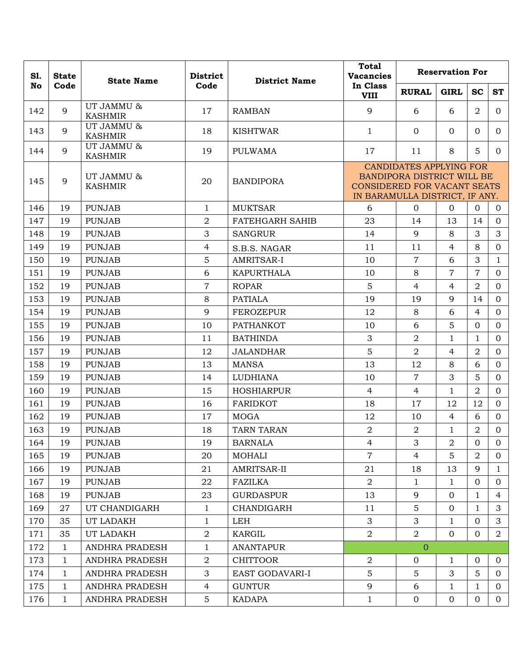| S1. | <b>State</b> | <b>State Name</b>            | <b>District</b> | <b>Total</b><br><b>Reservation For</b><br><b>Vacancies</b><br><b>District Name</b> |                                                                      |                                                                     |                |                |                |
|-----|--------------|------------------------------|-----------------|------------------------------------------------------------------------------------|----------------------------------------------------------------------|---------------------------------------------------------------------|----------------|----------------|----------------|
| No  | Code         |                              | Code            |                                                                                    | In Class<br><b>VIII</b>                                              | <b>RURAL</b>                                                        | <b>GIRL</b>    | <b>SC</b>      | <b>ST</b>      |
| 142 | 9            | UT JAMMU &<br><b>KASHMIR</b> | 17              | <b>RAMBAN</b>                                                                      | 9                                                                    | 6                                                                   | 6              | $\overline{2}$ | $\Omega$       |
| 143 | 9            | UT JAMMU &<br><b>KASHMIR</b> | 18              | <b>KISHTWAR</b>                                                                    | $\mathbf{1}$                                                         | $\overline{0}$                                                      | $\Omega$       | $\Omega$       | $\Omega$       |
| 144 | 9            | UT JAMMU &<br><b>KASHMIR</b> | 19              | <b>PULWAMA</b>                                                                     | 17                                                                   | 11                                                                  | 8              | 5              | $\Omega$       |
| 145 | 9            | UT JAMMU &<br><b>KASHMIR</b> | 20              | <b>BANDIPORA</b>                                                                   | <b>CONSIDERED FOR VACANT SEATS</b><br>IN BARAMULLA DISTRICT, IF ANY. | <b>CANDIDATES APPLYING FOR</b><br><b>BANDIPORA DISTRICT WILL BE</b> |                |                |                |
| 146 | 19           | <b>PUNJAB</b>                | $\mathbf{1}$    | <b>MUKTSAR</b>                                                                     | 6                                                                    | $\overline{0}$                                                      | $\Omega$       | $\Omega$       | $\Omega$       |
| 147 | 19           | <b>PUNJAB</b>                | 2               | <b>FATEHGARH SAHIB</b>                                                             | 23                                                                   | 14                                                                  | 13             | 14             | $\Omega$       |
| 148 | 19           | <b>PUNJAB</b>                | 3               | <b>SANGRUR</b>                                                                     | 14                                                                   | 9                                                                   | 8              | 3              | 3              |
| 149 | 19           | <b>PUNJAB</b>                | 4               | S.B.S. NAGAR                                                                       | 11                                                                   | 11                                                                  | $\overline{4}$ | 8              | $\overline{0}$ |
| 150 | 19           | <b>PUNJAB</b>                | 5               | AMRITSAR-I                                                                         | 10                                                                   | $\overline{7}$                                                      | 6              | 3              | $\mathbf{1}$   |
| 151 | 19           | <b>PUNJAB</b>                | 6               | <b>KAPURTHALA</b>                                                                  | 10                                                                   | 8                                                                   | $\overline{7}$ | $\overline{7}$ | $\Omega$       |
| 152 | 19           | <b>PUNJAB</b>                | $\overline{7}$  | <b>ROPAR</b>                                                                       | 5                                                                    | $\overline{4}$                                                      | $\overline{4}$ | $\overline{2}$ | $\overline{0}$ |
| 153 | 19           | <b>PUNJAB</b>                | 8               | <b>PATIALA</b>                                                                     | 19                                                                   | 19                                                                  | 9              | 14             | $\Omega$       |
| 154 | 19           | <b>PUNJAB</b>                | 9               | <b>FEROZEPUR</b>                                                                   | 12                                                                   | 8                                                                   | 6              | $\overline{4}$ | $\overline{0}$ |
| 155 | 19           | <b>PUNJAB</b>                | 10              | <b>PATHANKOT</b>                                                                   | 10                                                                   | 6                                                                   | 5              | $\Omega$       | $\Omega$       |
| 156 | 19           | <b>PUNJAB</b>                | 11              | <b>BATHINDA</b>                                                                    | 3                                                                    | $\overline{2}$                                                      | $\mathbf{1}$   | 1              | $\Omega$       |
| 157 | 19           | <b>PUNJAB</b>                | 12              | <b>JALANDHAR</b>                                                                   | 5                                                                    | 2                                                                   | 4              | $\overline{2}$ | $\overline{0}$ |
| 158 | 19           | <b>PUNJAB</b>                | 13              | <b>MANSA</b>                                                                       | 13                                                                   | 12                                                                  | 8              | 6              | $\Omega$       |
| 159 | 19           | <b>PUNJAB</b>                | 14              | <b>LUDHIANA</b>                                                                    | 10                                                                   | $\overline{7}$                                                      | 3              | 5              | $\Omega$       |
| 160 | 19           | <b>PUNJAB</b>                | 15              | <b>HOSHIARPUR</b>                                                                  | $\overline{4}$                                                       | 4                                                                   | $\mathbf{1}$   | $\overline{2}$ | $\Omega$       |
| 161 | 19           | <b>PUNJAB</b>                | 16              | <b>FARIDKOT</b>                                                                    | 18                                                                   | 17                                                                  | 12             | 12             | $\overline{0}$ |
| 162 | 19           | <b>PUNJAB</b>                | 17              | <b>MOGA</b>                                                                        | 12                                                                   | 10                                                                  | 4              | 6              | $\Omega$       |
| 163 | 19           | <b>PUNJAB</b>                | 18              | <b>TARN TARAN</b>                                                                  | $\overline{a}$                                                       | 2                                                                   | $\mathbf{1}$   | $\overline{2}$ | $\overline{0}$ |
| 164 | 19           | <b>PUNJAB</b>                | 19              | <b>BARNALA</b>                                                                     | $\overline{4}$                                                       | 3                                                                   | $\overline{2}$ | $\overline{0}$ | $\overline{0}$ |
| 165 | 19           | <b>PUNJAB</b>                | 20              | <b>MOHALI</b>                                                                      | $\overline{7}$                                                       | 4                                                                   | 5              | 2              | $\Omega$       |
| 166 | 19           | <b>PUNJAB</b>                | 21              | AMRITSAR-II                                                                        | 21                                                                   | 18                                                                  | 13             | 9              | $\mathbf{1}$   |
| 167 | 19           | <b>PUNJAB</b>                | 22              | <b>FAZILKA</b>                                                                     | 2                                                                    | $\mathbf{1}$                                                        | $\mathbf{1}$   | $\overline{0}$ | $\Omega$       |
| 168 | 19           | <b>PUNJAB</b>                | 23              | <b>GURDASPUR</b>                                                                   | 13                                                                   | 9                                                                   | $\overline{0}$ | 1              | 4              |
| 169 | 27           | UT CHANDIGARH                | $\mathbf{1}$    | CHANDIGARH                                                                         | 11                                                                   | $5\overline{)}$                                                     | 0              | $\mathbf{1}$   | 3              |
| 170 | 35           | UT LADAKH                    | 1               | <b>LEH</b>                                                                         | 3                                                                    | 3                                                                   | 1              | $\overline{0}$ | 3              |
| 171 | 35           | UT LADAKH                    | $\overline{a}$  | KARGIL                                                                             | $\overline{2}$                                                       | $\overline{2}$                                                      | $\overline{0}$ | $\overline{0}$ | 2              |
| 172 | $\mathbf{1}$ | ANDHRA PRADESH               | $\mathbf{1}$    | <b>ANANTAPUR</b>                                                                   |                                                                      | $\overline{0}$                                                      |                |                |                |
| 173 | $\mathbf{1}$ | ANDHRA PRADESH               | $\overline{2}$  | <b>CHITTOOR</b>                                                                    | $\overline{2}$                                                       | $\overline{0}$                                                      | 1              | $\overline{0}$ | $\Omega$       |
| 174 | $\mathbf{1}$ | ANDHRA PRADESH               | 3               | EAST GODAVARI-I                                                                    | 5                                                                    | 5                                                                   | 3              | 5              | $\Omega$       |
| 175 | $\mathbf{1}$ | ANDHRA PRADESH               | $\overline{4}$  | <b>GUNTUR</b>                                                                      | 9                                                                    | 6                                                                   | $\mathbf{1}$   | $\mathbf{1}$   | $\Omega$       |
| 176 | $\mathbf{1}$ | ANDHRA PRADESH               | 5               | KADAPA                                                                             | $\mathbf{1}$                                                         | $\mathbf{0}$                                                        | $\overline{0}$ | $\overline{0}$ | $\overline{0}$ |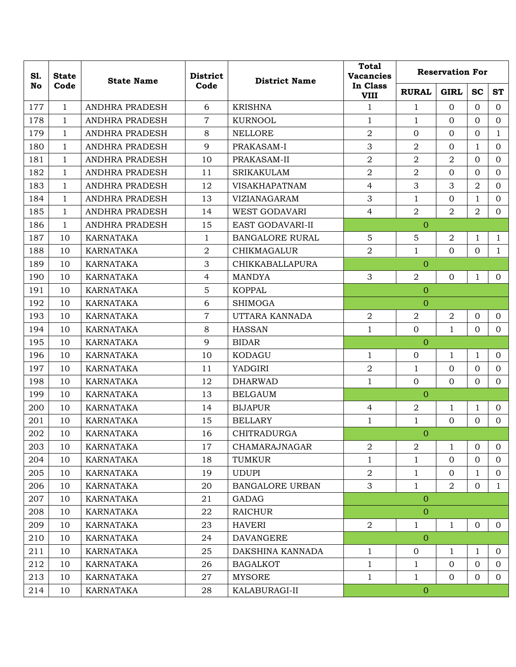| S1.<br><b>State</b> |              | <b>State Name</b>     | <b>District</b> | <b>District Name</b>   | <b>Total</b><br><b>Vacancies</b> |                  | <b>Reservation For</b> |                |                |
|---------------------|--------------|-----------------------|-----------------|------------------------|----------------------------------|------------------|------------------------|----------------|----------------|
| <b>No</b>           | Code         |                       | Code            |                        | In Class<br><b>VIII</b>          | <b>RURAL</b>     | <b>GIRL</b>            | <b>SC</b>      | <b>ST</b>      |
| 177                 | $\mathbf{1}$ | ANDHRA PRADESH        | 6               | <b>KRISHNA</b>         | $\mathbf{1}$                     | 1                | $\Omega$               | $\Omega$       | $\overline{0}$ |
| 178                 | $\mathbf{1}$ | ANDHRA PRADESH        | $\overline{7}$  | <b>KURNOOL</b>         | $\mathbf{1}$                     | $\mathbf{1}$     | $\overline{0}$         | $\overline{0}$ | $\overline{0}$ |
| 179                 | $\mathbf{1}$ | <b>ANDHRA PRADESH</b> | 8               | <b>NELLORE</b>         | $\overline{2}$                   | $\Omega$         | $\overline{0}$         | $\overline{0}$ | $\mathbf{1}$   |
| 180                 | $\mathbf{1}$ | ANDHRA PRADESH        | 9               | PRAKASAM-I             | 3                                | 2                | $\overline{0}$         | $\mathbf{1}$   | $\mathbf{0}$   |
| 181                 | $\mathbf{1}$ | ANDHRA PRADESH        | 10              | PRAKASAM-II            | $\overline{2}$                   | $\overline{2}$   | $\overline{2}$         | $\overline{0}$ | $\mathbf{0}$   |
| 182                 | $\mathbf{1}$ | ANDHRA PRADESH        | 11              | <b>SRIKAKULAM</b>      | $\overline{2}$                   | $\overline{2}$   | $\Omega$               | $\Omega$       | $\mathbf{0}$   |
| 183                 | $\mathbf{1}$ | ANDHRA PRADESH        | 12              | <b>VISAKHAPATNAM</b>   | 4                                | 3                | 3                      | $\overline{2}$ | $\mathbf{0}$   |
| 184                 | $\mathbf{1}$ | ANDHRA PRADESH        | 13              | VIZIANAGARAM           | 3                                | $\mathbf{1}$     | $\mathbf{0}$           | $\mathbf{1}$   | $\mathbf{0}$   |
| 185                 | $\mathbf{1}$ | ANDHRA PRADESH        | 14              | <b>WEST GODAVARI</b>   | $\overline{4}$                   | $\overline{2}$   | $\overline{2}$         | $\overline{2}$ | $\overline{0}$ |
| 186                 | $\mathbf{1}$ | <b>ANDHRA PRADESH</b> | 15              | EAST GODAVARI-II       |                                  | $\overline{0}$   |                        |                |                |
| 187                 | 10           | KARNATAKA             | 1               | <b>BANGALORE RURAL</b> | 5                                | 5                | $\boldsymbol{2}$       | $\mathbf 1$    | $\mathbf{1}$   |
| 188                 | 10           | <b>KARNATAKA</b>      | $\overline{2}$  | <b>CHIKMAGALUR</b>     | $\overline{2}$                   | $\mathbf 1$      | $\overline{0}$         | $\overline{0}$ | $\mathbf{1}$   |
| 189                 | 10           | KARNATAKA             | 3               | <b>CHIKKABALLAPURA</b> |                                  | $\overline{0}$   |                        |                |                |
| 190                 | 10           | KARNATAKA             | $\overline{4}$  | <b>MANDYA</b>          | 3                                | $\overline{2}$   | $\mathbf{0}$           | 1              | $\overline{0}$ |
| 191                 | 10           | KARNATAKA             | $\sqrt{5}$      | <b>KOPPAL</b>          |                                  | $\mathbf{0}$     |                        |                |                |
| 192                 | 10           | KARNATAKA             | 6               | <b>SHIMOGA</b>         |                                  | $\overline{0}$   |                        |                |                |
| 193                 | 10           | <b>KARNATAKA</b>      | $\overline{7}$  | UTTARA KANNADA         | $\overline{2}$                   | $\overline{2}$   | $\overline{2}$         | $\mathbf{0}$   | $\mathbf{0}$   |
| 194                 | 10           | KARNATAKA             | 8               | <b>HASSAN</b>          | $\mathbf{1}$                     | $\overline{0}$   | $\mathbf{1}$           | $\overline{0}$ | $\overline{0}$ |
| 195                 | 10           | <b>KARNATAKA</b>      | 9               | <b>BIDAR</b>           |                                  | $\overline{0}$   |                        |                |                |
| 196                 | 10           | KARNATAKA             | 10              | KODAGU                 | $\mathbf{1}$                     | $\overline{0}$   | 1                      | 1              | $\overline{0}$ |
| 197                 | 10           | KARNATAKA             | 11              | YADGIRI                | $\sqrt{2}$                       | $\mathbf{1}$     | $\mathbf{0}$           | $\mathbf{0}$   | $\mathbf{0}$   |
| 198                 | 10           | <b>KARNATAKA</b>      | 12              | <b>DHARWAD</b>         | $\mathbf{1}$                     | $\overline{0}$   | $\overline{0}$         | $\overline{0}$ | $\mathbf{0}$   |
| 199                 | 10           | KARNATAKA             | 13              | <b>BELGAUM</b>         |                                  | $\overline{0}$   |                        |                |                |
| 200                 | 10           | <b>KARNATAKA</b>      | 14              | <b>BIJAPUR</b>         | 4                                | $\overline{2}$   | $\mathbf{1}$           | $\mathbf 1$    | $\mathbf{0}$   |
| 201                 | 10           | <b>KARNATAKA</b>      | 15              | <b>BELLARY</b>         | $\mathbf{1}$                     | $\mathbf{1}$     | $\mathbf{0}$           | $\mathbf{0}$   | $\overline{0}$ |
| 202                 | 10           | KARNATAKA             | 16              | <b>CHITRADURGA</b>     |                                  | $\overline{0}$   |                        |                |                |
| 203                 | 10           | <b>KARNATAKA</b>      | 17              | CHAMARAJNAGAR          | $\overline{2}$                   | $\overline{2}$   | $\mathbf{1}$           | $\overline{0}$ | $\overline{0}$ |
| 204                 | 10           | <b>KARNATAKA</b>      | 18              | <b>TUMKUR</b>          | $\mathbf{1}$                     | $\mathbf{1}$     | $\mathbf{0}$           | $\overline{0}$ | $\overline{0}$ |
| 205                 | 10           | <b>KARNATAKA</b>      | 19              | <b>UDUPI</b>           | $\overline{2}$                   | $\mathbf{1}$     | $\overline{0}$         | $\mathbf 1$    | $\mathbf{0}$   |
| 206                 | 10           | KARNATAKA             | 20              | <b>BANGALORE URBAN</b> | 3                                | $\mathbf{1}$     | $\overline{2}$         | $\overline{0}$ | $\mathbf{1}$   |
| 207                 | 10           | KARNATAKA             | 21              | <b>GADAG</b>           |                                  | $\overline{0}$   |                        |                |                |
| 208                 | 10           | KARNATAKA             | 22              | RAICHUR                |                                  | $\overline{0}$   |                        |                |                |
| 209                 | 10           | KARNATAKA             | 23              | <b>HAVERI</b>          | $\overline{2}$                   | $\mathbf{1}$     | $\mathbf{1}$           | $\mathbf{0}$   | $\overline{0}$ |
| 210                 | 10           | KARNATAKA             | 24              | <b>DAVANGERE</b>       |                                  | $\overline{O}$   |                        |                |                |
| 211                 | 10           | KARNATAKA             | 25              | DAKSHINA KANNADA       | $\mathbf{1}$                     | $\mathbf 0$      | 1                      | 1              | $\overline{0}$ |
| 212                 | 10           | KARNATAKA             | 26              | <b>BAGALKOT</b>        | $\mathbf{1}$                     | $\mathbf{1}$     | $\mathbf{0}$           | $\mathbf{0}$   | $\overline{0}$ |
| 213                 | 10           | KARNATAKA             | 27              | <b>MYSORE</b>          | $\mathbf{1}$                     | $\mathbf{1}$     | $\overline{0}$         | $\overline{0}$ | $\overline{0}$ |
| 214                 | 10           | KARNATAKA             | 28              | KALABURAGI-II          |                                  | $\boldsymbol{0}$ |                        |                |                |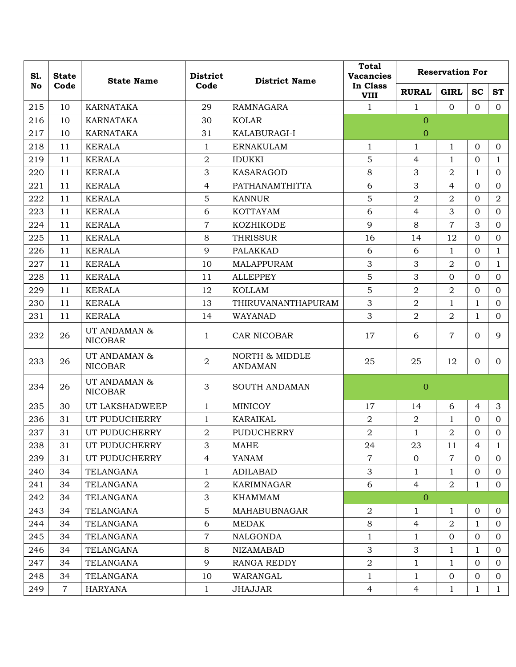| S1.<br><b>State</b><br>No |                | <b>State Name</b>              |                | <b>District</b><br>Code                     | <b>District Name</b>    | <b>Total</b><br><b>Vacancies</b> |                | <b>Reservation For</b> |                |  |
|---------------------------|----------------|--------------------------------|----------------|---------------------------------------------|-------------------------|----------------------------------|----------------|------------------------|----------------|--|
|                           | Code           |                                |                |                                             | In Class<br><b>VIII</b> | <b>RURAL</b>                     | <b>GIRL</b>    | <b>SC</b>              | <b>ST</b>      |  |
| 215                       | 10             | <b>KARNATAKA</b>               | 29             | <b>RAMNAGARA</b>                            | $\mathbf{1}$            | $\mathbf{1}$                     | $\overline{0}$ | $\Omega$               | $\Omega$       |  |
| 216                       | 10             | KARNATAKA                      | 30             | <b>KOLAR</b>                                |                         | $\overline{0}$                   |                |                        |                |  |
| 217                       | 10             | <b>KARNATAKA</b>               | 31             | KALABURAGI-I                                |                         | $\overline{0}$                   |                |                        |                |  |
| 218                       | 11             | <b>KERALA</b>                  | 1              | <b>ERNAKULAM</b>                            | $\mathbf{1}$            | 1                                | $\mathbf{1}$   | $\mathbf{O}$           | $\mathbf{O}$   |  |
| 219                       | 11             | <b>KERALA</b>                  | $\overline{2}$ | <b>IDUKKI</b>                               | 5                       | $\overline{4}$                   | $\mathbf{1}$   | $\Omega$               | $\mathbf{1}$   |  |
| 220                       | 11             | <b>KERALA</b>                  | 3              | <b>KASARAGOD</b>                            | 8                       | 3                                | $\overline{2}$ | $\mathbf{1}$           | $\Omega$       |  |
| 221                       | 11             | <b>KERALA</b>                  | $\overline{4}$ | PATHANAMTHITTA                              | 6                       | 3                                | $\overline{4}$ | $\mathbf{O}$           | $\overline{0}$ |  |
| 222                       | 11             | <b>KERALA</b>                  | 5              | <b>KANNUR</b>                               | 5                       | $\overline{2}$                   | $\overline{2}$ | $\mathbf{O}$           | $\overline{a}$ |  |
| 223                       | 11             | <b>KERALA</b>                  | 6              | <b>KOTTAYAM</b>                             | 6                       | $\overline{4}$                   | 3              | $\mathbf{O}$           | $\overline{0}$ |  |
| 224                       | 11             | <b>KERALA</b>                  | $\overline{7}$ | KOZHIKODE                                   | 9                       | 8                                | $\overline{7}$ | 3                      | $\Omega$       |  |
| 225                       | 11             | <b>KERALA</b>                  | 8              | <b>THRISSUR</b>                             | 16                      | 14                               | 12             | $\Omega$               | $\overline{0}$ |  |
| 226                       | 11             | <b>KERALA</b>                  | 9              | <b>PALAKKAD</b>                             | 6                       | 6                                | $\mathbf{1}$   | $\mathbf{O}$           | $\mathbf{1}$   |  |
| 227                       | 11             | <b>KERALA</b>                  | 10             | MALAPPURAM                                  | 3                       | 3                                | $\overline{2}$ | $\mathbf{O}$           | $\mathbf{1}$   |  |
| 228                       | 11             | <b>KERALA</b>                  | 11             | <b>ALLEPPEY</b>                             | 5                       | 3                                | $\mathbf{0}$   | $\overline{0}$         | $\overline{0}$ |  |
| 229                       | 11             | <b>KERALA</b>                  | 12             | <b>KOLLAM</b>                               | 5                       | $\overline{2}$                   | $\overline{2}$ | $\overline{0}$         | $\overline{0}$ |  |
| 230                       | 11             | <b>KERALA</b>                  | 13             | THIRUVANANTHAPURAM                          | 3                       | $\overline{2}$                   | $\mathbf{1}$   | 1                      | $\Omega$       |  |
| 231                       | 11             | <b>KERALA</b>                  | 14             | WAYANAD                                     | 3                       | $\overline{2}$                   | $\overline{2}$ | $\mathbf{1}$           | $\overline{0}$ |  |
| 232                       | 26             | UT ANDAMAN &<br><b>NICOBAR</b> | $\mathbf{1}$   | CAR NICOBAR                                 | 17                      | 6                                | $\overline{7}$ | $\Omega$               | 9              |  |
| 233                       | 26             | UT ANDAMAN &<br><b>NICOBAR</b> | $\overline{2}$ | <b>NORTH &amp; MIDDLE</b><br><b>ANDAMAN</b> | 25                      | 25                               | 12             | $\overline{0}$         | $\Omega$       |  |
| 234                       | 26             | UT ANDAMAN &<br><b>NICOBAR</b> | 3              | <b>SOUTH ANDAMAN</b>                        |                         | $\overline{0}$                   |                |                        |                |  |
| 235                       | 30             | UT LAKSHADWEEP                 | $\mathbf{1}$   | MINICOY                                     | 17                      | 14                               | 6              | $\overline{4}$         | 3              |  |
| 236                       | 31             | UT PUDUCHERRY                  | $\mathbf{1}$   | <b>KARAIKAL</b>                             | $\overline{2}$          | $\overline{2}$                   | $\mathbf{1}$   | $\Omega$               | $\Omega$       |  |
| 237                       | 31             | UT PUDUCHERRY                  | $\overline{a}$ | <b>PUDUCHERRY</b>                           | $\overline{2}$          | $\mathbf{1}$                     | $\overline{2}$ | $\Omega$               | $\overline{0}$ |  |
| 238                       | 31             | UT PUDUCHERRY                  | 3              | <b>MAHE</b>                                 | 24                      | 23                               | 11             | 4                      | $\mathbf{1}$   |  |
| 239                       | 31             | UT PUDUCHERRY                  | $\overline{4}$ | YANAM                                       | $\overline{7}$          | $\overline{0}$                   | $\overline{7}$ | $\overline{0}$         | $\overline{0}$ |  |
| 240                       | 34             | TELANGANA                      | $\mathbf{1}$   | <b>ADILABAD</b>                             | 3                       | $\mathbf{1}$                     | $\mathbf{1}$   | $\mathbf{0}$           | $\overline{0}$ |  |
| 241                       | 34             | TELANGANA                      | $\sqrt{2}$     | <b>KARIMNAGAR</b>                           | 6                       | $\overline{4}$                   | $\overline{a}$ | $\mathbf{1}$           | $\overline{0}$ |  |
| 242                       | 34             | TELANGANA                      | 3              | KHAMMAM                                     |                         | $\overline{0}$                   |                |                        |                |  |
| 243                       | 34             | TELANGANA                      | $\mathbf 5$    | MAHABUBNAGAR                                | 2                       | 1                                | 1              | $\overline{0}$         | $\overline{0}$ |  |
| 244                       | 34             | TELANGANA                      | 6              | <b>MEDAK</b>                                | 8                       | 4                                | $\overline{2}$ | $\mathbf{1}$           | $\overline{0}$ |  |
| 245                       | 34             | TELANGANA                      | $\overline{7}$ | NALGONDA                                    | 1                       | 1                                | $\overline{0}$ | $\overline{0}$         | $\overline{0}$ |  |
| 246                       | 34             | TELANGANA                      | 8              | NIZAMABAD                                   | $\mathfrak{Z}$          | 3                                | $\mathbf{1}$   | $\mathbf{1}$           | $\mathbf{0}$   |  |
| 247                       | 34             | <b>TELANGANA</b>               | 9              | <b>RANGA REDDY</b>                          | $\overline{2}$          | $\mathbf{1}$                     | $\mathbf{1}$   | $\overline{0}$         | $\overline{0}$ |  |
| 248                       | 34             | TELANGANA                      | 10             | WARANGAL                                    | $\mathbf 1$             | 1                                | $\mathbf 0$    | $\overline{0}$         | $\overline{0}$ |  |
| 249                       | $\overline{7}$ | <b>HARYANA</b>                 | $\mathbf{1}$   | <b>JHAJJAR</b>                              | $\overline{4}$          | $\overline{4}$                   | $\mathbf{1}$   | $\mathbf{1}$           | $\mathbf{1}$   |  |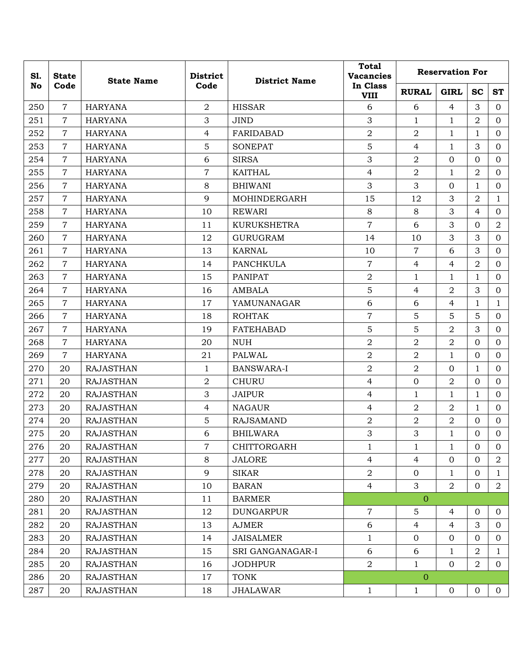| S1. | <b>State</b>   | <b>State Name</b> | <b>District</b> | <b>District Name</b> | <b>Total</b><br><b>Vacancies</b> | <b>Reservation For</b> |                |                |                |  |  |
|-----|----------------|-------------------|-----------------|----------------------|----------------------------------|------------------------|----------------|----------------|----------------|--|--|
| No  | Code           |                   | Code            |                      | In Class<br><b>VIII</b>          | <b>RURAL</b>           | <b>GIRL</b>    | <b>SC</b>      | <b>ST</b>      |  |  |
| 250 | $\overline{7}$ | <b>HARYANA</b>    | $\overline{a}$  | <b>HISSAR</b>        | 6                                | 6                      | 4              | 3              | $\Omega$       |  |  |
| 251 | $\overline{7}$ | <b>HARYANA</b>    | 3               | <b>JIND</b>          | 3                                | $\mathbf{1}$           | 1              | $\overline{2}$ | $\overline{0}$ |  |  |
| 252 | $\overline{7}$ | <b>HARYANA</b>    | $\overline{4}$  | FARIDABAD            | $\overline{2}$                   | $\overline{2}$         | $\mathbf{1}$   | $\mathbf{1}$   | $\Omega$       |  |  |
| 253 | $\overline{7}$ | <b>HARYANA</b>    | $\overline{5}$  | <b>SONEPAT</b>       | 5                                | $\overline{4}$         | $\mathbf 1$    | 3              | $\overline{0}$ |  |  |
| 254 | $\overline{7}$ | <b>HARYANA</b>    | 6               | <b>SIRSA</b>         | 3                                | $\overline{2}$         | $\mathbf{0}$   | $\Omega$       | $\overline{0}$ |  |  |
| 255 | $\overline{7}$ | <b>HARYANA</b>    | $\overline{7}$  | KAITHAL              | $\overline{4}$                   | $\overline{2}$         | 1              | $\overline{2}$ | $\mathbf{0}$   |  |  |
| 256 | $\overline{7}$ | <b>HARYANA</b>    | 8               | <b>BHIWANI</b>       | 3                                | 3                      | $\mathbf{0}$   | $\mathbf{1}$   | $\overline{0}$ |  |  |
| 257 | $\overline{7}$ | <b>HARYANA</b>    | 9               | MOHINDERGARH         | 15                               | 12                     | 3              | $\overline{a}$ | $\mathbf{1}$   |  |  |
| 258 | $\overline{7}$ | <b>HARYANA</b>    | 10              | <b>REWARI</b>        | 8                                | 8                      | 3              | $\overline{4}$ | $\overline{0}$ |  |  |
| 259 | $\overline{7}$ | <b>HARYANA</b>    | 11              | <b>KURUKSHETRA</b>   | $\overline{7}$                   | 6                      | 3              | $\mathbf{O}$   | $\overline{2}$ |  |  |
| 260 | $\overline{7}$ | <b>HARYANA</b>    | 12              | <b>GURUGRAM</b>      | 14                               | 10                     | 3              | 3              | $\overline{0}$ |  |  |
| 261 | $\overline{7}$ | <b>HARYANA</b>    | 13              | <b>KARNAL</b>        | 10                               | $\overline{7}$         | 6              | 3              | $\mathbf{0}$   |  |  |
| 262 | $\overline{7}$ | <b>HARYANA</b>    | 14              | <b>PANCHKULA</b>     | $\overline{7}$                   | $\overline{4}$         | 4              | $\overline{2}$ | $\Omega$       |  |  |
| 263 | $\overline{7}$ | <b>HARYANA</b>    | 15              | <b>PANIPAT</b>       | $\overline{2}$                   | $\mathbf{1}$           | $\mathbf{1}$   | $\mathbf{1}$   | $\overline{0}$ |  |  |
| 264 | $\overline{7}$ | <b>HARYANA</b>    | 16              | <b>AMBALA</b>        | 5                                | $\overline{4}$         | $\overline{2}$ | 3              | $\Omega$       |  |  |
| 265 | $\overline{7}$ | <b>HARYANA</b>    | 17              | YAMUNANAGAR          | 6                                | 6                      | $\overline{4}$ | $\mathbf{1}$   | $\mathbf{1}$   |  |  |
| 266 | $\overline{7}$ | <b>HARYANA</b>    | 18              | <b>ROHTAK</b>        | $\overline{7}$                   | 5                      | 5              | 5              | $\Omega$       |  |  |
| 267 | $\overline{7}$ | <b>HARYANA</b>    | 19              | <b>FATEHABAD</b>     | 5                                | 5                      | $\overline{2}$ | 3              | $\Omega$       |  |  |
| 268 | $\overline{7}$ | <b>HARYANA</b>    | 20              | <b>NUH</b>           | $\overline{2}$                   | $\overline{2}$         | $\overline{2}$ | $\Omega$       | $\overline{0}$ |  |  |
| 269 | $\overline{7}$ | <b>HARYANA</b>    | 21              | PALWAL               | $\overline{2}$                   | $\overline{2}$         | 1              | $\overline{0}$ | $\Omega$       |  |  |
| 270 | 20             | <b>RAJASTHAN</b>  | $\mathbf{1}$    | <b>BANSWARA-I</b>    | $\overline{2}$                   | $\overline{2}$         | $\mathbf{0}$   | $\mathbf{1}$   | $\overline{0}$ |  |  |
| 271 | 20             | <b>RAJASTHAN</b>  | 2               | <b>CHURU</b>         | $\overline{4}$                   | $\mathbf{0}$           | $\overline{2}$ | $\mathbf{O}$   | $\Omega$       |  |  |
| 272 | 20             | <b>RAJASTHAN</b>  | 3               | <b>JAIPUR</b>        | $\overline{4}$                   | $\mathbf{1}$           | 1              | 1              | $\mathbf{0}$   |  |  |
| 273 | 20             | <b>RAJASTHAN</b>  | $\overline{4}$  | <b>NAGAUR</b>        | $\overline{4}$                   | $\overline{2}$         | $\overline{2}$ | $\mathbf{1}$   | $\Omega$       |  |  |
| 274 | 20             | <b>RAJASTHAN</b>  | 5               | <b>RAJSAMAND</b>     | $\overline{2}$                   | $\overline{a}$         | $\overline{2}$ | $\mathbf{0}$   | $\Omega$       |  |  |
| 275 | 20             | <b>RAJASTHAN</b>  | 6               | <b>BHILWARA</b>      | 3                                | 3                      | 1              | $\mathbf{0}$   | $\mathbf{0}$   |  |  |
| 276 | 20             | <b>RAJASTHAN</b>  | $\overline{7}$  | CHITTORGARH          | 1                                | $\mathbf{1}$           | $\mathbf{1}$   | $\overline{0}$ | $\overline{0}$ |  |  |
| 277 | 20             | <b>RAJASTHAN</b>  | 8               | <b>JALORE</b>        | $\overline{4}$                   | $\overline{4}$         | $\mathbf{O}$   | $\overline{0}$ | $\overline{a}$ |  |  |
| 278 | 20             | <b>RAJASTHAN</b>  | 9               | <b>SIKAR</b>         | $\overline{2}$                   | $\mathbf{0}$           | $\mathbf{1}$   | $\overline{0}$ | $\mathbf{1}$   |  |  |
| 279 | 20             | <b>RAJASTHAN</b>  | 10              | <b>BARAN</b>         | $\overline{4}$                   | 3                      | $\overline{2}$ | $\overline{0}$ | $\overline{2}$ |  |  |
| 280 | 20             | <b>RAJASTHAN</b>  | 11              | <b>BARMER</b>        |                                  | $\overline{0}$         |                |                |                |  |  |
| 281 | 20             | <b>RAJASTHAN</b>  | 12              | <b>DUNGARPUR</b>     | $\overline{7}$                   | 5                      | 4              | $\mathbf{0}$   | $\overline{0}$ |  |  |
| 282 | 20             | <b>RAJASTHAN</b>  | 13              | <b>AJMER</b>         | 6                                | $\overline{4}$         | $\overline{4}$ | 3              | $\overline{0}$ |  |  |
| 283 | 20             | <b>RAJASTHAN</b>  | 14              | <b>JAISALMER</b>     | $\mathbf{1}$                     | $\mathbf{0}$           | $\mathbf{0}$   | $\overline{0}$ | $\overline{0}$ |  |  |
| 284 | 20             | <b>RAJASTHAN</b>  | 15              | SRI GANGANAGAR-I     | 6                                | 6                      | 1              | $\overline{a}$ | 1              |  |  |
| 285 | 20             | <b>RAJASTHAN</b>  | 16              | <b>JODHPUR</b>       | $\overline{a}$                   | $\mathbf{1}$           | $\overline{0}$ | $\overline{a}$ | $\overline{0}$ |  |  |
| 286 | 20             | <b>RAJASTHAN</b>  | 17              | <b>TONK</b>          |                                  | $\mathbf{0}$           |                |                |                |  |  |
| 287 | 20             | <b>RAJASTHAN</b>  | 18              | <b>JHALAWAR</b>      | $\mathbf{1}$                     | $\mathbf{1}$           | $\mathbf 0$    | $\mathbf 0$    | $\overline{0}$ |  |  |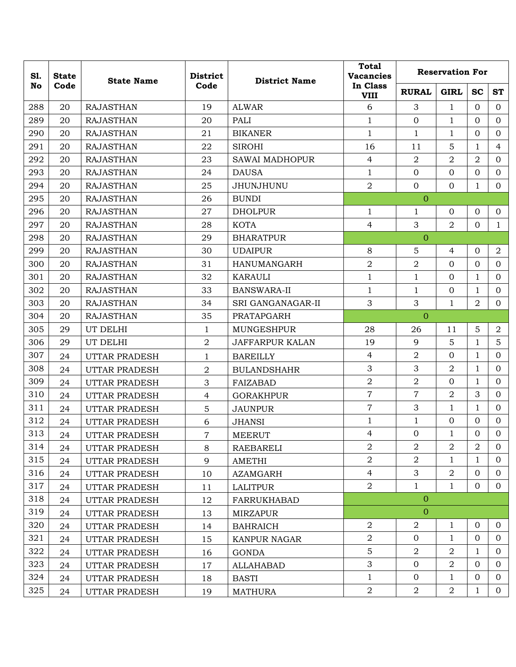| S1.<br><b>State</b> | <b>State Name</b> | Code                 | <b>District</b> | <b>District Name</b>   | <b>Total</b><br><b>Vacancies</b> | <b>Reservation For</b> |                |                |                |  |
|---------------------|-------------------|----------------------|-----------------|------------------------|----------------------------------|------------------------|----------------|----------------|----------------|--|
| No                  | Code              |                      |                 |                        | In Class<br><b>VIII</b>          | <b>RURAL</b>           | <b>GIRL</b>    | <b>SC</b>      | <b>ST</b>      |  |
| 288                 | 20                | <b>RAJASTHAN</b>     | 19              | <b>ALWAR</b>           | 6                                | 3                      | $\mathbf{1}$   | $\Omega$       | $\Omega$       |  |
| 289                 | 20                | <b>RAJASTHAN</b>     | 20              | PALI                   | $\mathbf{1}$                     | $\overline{0}$         | $\mathbf{1}$   | $\overline{0}$ | $\mathbf{0}$   |  |
| 290                 | 20                | <b>RAJASTHAN</b>     | 21              | <b>BIKANER</b>         | $\mathbf{1}$                     | $\mathbf{1}$           | 1              | $\overline{0}$ | $\mathbf{0}$   |  |
| 291                 | 20                | <b>RAJASTHAN</b>     | 22              | <b>SIROHI</b>          | 16                               | 11                     | 5              | $\mathbf{1}$   | $\overline{4}$ |  |
| 292                 | 20                | <b>RAJASTHAN</b>     | 23              | <b>SAWAI MADHOPUR</b>  | $\overline{4}$                   | 2                      | 2              | 2              | $\mathbf{0}$   |  |
| 293                 | 20                | <b>RAJASTHAN</b>     | 24              | <b>DAUSA</b>           | $\mathbf{1}$                     | $\mathbf 0$            | $\mathbf{0}$   | $\mathbf{0}$   | $\overline{0}$ |  |
| 294                 | 20                | <b>RAJASTHAN</b>     | 25              | JHUNJHUNU              | $\overline{a}$                   | $\overline{0}$         | $\overline{0}$ | $\mathbf{1}$   | $\overline{0}$ |  |
| 295                 | 20                | <b>RAJASTHAN</b>     | 26              | <b>BUNDI</b>           |                                  | $\overline{0}$         |                |                |                |  |
| 296                 | 20                | <b>RAJASTHAN</b>     | 27              | <b>DHOLPUR</b>         | $\mathbf{1}$                     | $\mathbf{1}$           | $\overline{0}$ | $\mathbf{0}$   | $\overline{0}$ |  |
| 297                 | 20                | <b>RAJASTHAN</b>     | 28              | <b>KOTA</b>            | 4                                | 3                      | $\overline{2}$ | $\mathbf{0}$   | $\mathbf{1}$   |  |
| 298                 | 20                | <b>RAJASTHAN</b>     | 29              | <b>BHARATPUR</b>       |                                  | $\mathbf{0}$           |                |                |                |  |
| 299                 | 20                | <b>RAJASTHAN</b>     | 30              | <b>UDAIPUR</b>         | 8                                | 5                      | 4              | $\mathbf{0}$   | $\overline{a}$ |  |
| 300                 | 20                | <b>RAJASTHAN</b>     | 31              | <b>HANUMANGARH</b>     | $\overline{2}$                   | $\overline{2}$         | $\overline{0}$ | $\mathbf{0}$   | $\mathbf{0}$   |  |
| 301                 | 20                | <b>RAJASTHAN</b>     | 32              | KARAULI                | $\mathbf{1}$                     | $\mathbf{1}$           | $\overline{0}$ | $\mathbf{1}$   | $\overline{0}$ |  |
| 302                 | 20                | <b>RAJASTHAN</b>     | 33              | <b>BANSWARA-II</b>     | $\mathbf{1}$                     | $\mathbf{1}$           | $\overline{0}$ | $\mathbf{1}$   | $\overline{0}$ |  |
| 303                 | 20                | <b>RAJASTHAN</b>     | 34              | SRI GANGANAGAR-II      | 3                                | 3                      | $\mathbf{1}$   | $\overline{a}$ | $\mathbf{0}$   |  |
| 304                 | 20                | <b>RAJASTHAN</b>     | 35              | PRATAPGARH             |                                  | $\overline{0}$         |                |                |                |  |
| 305                 | 29                | UT DELHI             | 1               | MUNGESHPUR             | 28                               | 26                     | 11             | 5              | $\overline{2}$ |  |
| 306                 | 29                | UT DELHI             | $\overline{2}$  | <b>JAFFARPUR KALAN</b> | 19                               | 9                      | 5              | $\mathbf{1}$   | 5              |  |
| 307                 | 24                | UTTAR PRADESH        | $\mathbf{1}$    | <b>BAREILLY</b>        | $\overline{4}$                   | 2                      | $\overline{0}$ | $\mathbf{1}$   | $\mathbf{0}$   |  |
| 308                 | 24                | UTTAR PRADESH        | $\sqrt{2}$      | <b>BULANDSHAHR</b>     | 3                                | 3                      | $\overline{2}$ | $\mathbf 1$    | $\overline{0}$ |  |
| 309                 | 24                | UTTAR PRADESH        | 3               | <b>FAIZABAD</b>        | $\overline{2}$                   | $\overline{2}$         | $\overline{0}$ | $\mathbf{1}$   | $\mathbf{0}$   |  |
| 310                 | 24                | UTTAR PRADESH        | $\overline{4}$  | <b>GORAKHPUR</b>       | $\overline{7}$                   | 7                      | 2              | 3              | $\mathbf{0}$   |  |
| 311                 | 24                | <b>UTTAR PRADESH</b> | $\sqrt{5}$      | <b>JAUNPUR</b>         | $\overline{7}$                   | 3                      | $\mathbf{1}$   | $\mathbf{1}$   | $\overline{0}$ |  |
| 312                 | 24                | UTTAR PRADESH        | 6               | <b>JHANSI</b>          | $\mathbf{1}$                     | 1                      | $\mathbf{0}$   | $\mathbf{0}$   | $\overline{0}$ |  |
| 313                 | 24                | UTTAR PRADESH        | 7               | <b>MEERUT</b>          | 4                                | $\overline{0}$         | $\mathbf{1}$   | $\Omega$       | $\mathbf{0}$   |  |
| 314                 | 24                | UTTAR PRADESH        | 8               | RAEBARELI              | $\overline{2}$                   | 2                      | $\overline{2}$ | $\overline{2}$ | $\overline{0}$ |  |
| 315                 | 24                | UTTAR PRADESH        | 9               | AMETHI                 | $\overline{2}$                   | $\overline{a}$         | $\mathbf{1}$   | $\mathbf{1}$   | $\overline{0}$ |  |
| 316                 | 24                | UTTAR PRADESH        | 10              | <b>AZAMGARH</b>        | $\overline{4}$                   | 3                      | $\overline{2}$ | $\overline{0}$ | $\overline{0}$ |  |
| 317                 | 24                | UTTAR PRADESH        | 11              | <b>LALITPUR</b>        | $\overline{2}$                   | $\mathbf{1}$           | 1              | $\overline{0}$ | $\overline{0}$ |  |
| 318                 | 24                | UTTAR PRADESH        | 12              | FARRUKHABAD            |                                  | $\mathbf{0}$           |                |                |                |  |
| 319                 | 24                | <b>UTTAR PRADESH</b> | 13              | <b>MIRZAPUR</b>        |                                  | $\overline{0}$         |                |                |                |  |
| 320                 | 24                | UTTAR PRADESH        | 14              | <b>BAHRAICH</b>        | $\overline{2}$                   | $\boldsymbol{2}$       | $\mathbf 1$    | $\mathbf{0}$   | $\overline{0}$ |  |
| 321                 | 24                | UTTAR PRADESH        | 15              | KANPUR NAGAR           | $\overline{2}$                   | $\overline{0}$         | $\mathbf{1}$   | $\Omega$       | $\overline{0}$ |  |
| 322                 | 24                | UTTAR PRADESH        | 16              | <b>GONDA</b>           | 5                                | $\overline{2}$         | $\overline{a}$ | 1              | $\overline{0}$ |  |
| 323                 | 24                | UTTAR PRADESH        | 17              | ALLAHABAD              | 3                                | $\overline{0}$         | $\overline{2}$ | $\overline{0}$ | $\overline{0}$ |  |
| 324                 | 24                | UTTAR PRADESH        | 18              | <b>BASTI</b>           | $\mathbf{1}$                     | $\overline{0}$         | 1              | $\overline{0}$ | $\overline{0}$ |  |
| 325                 | 24                | UTTAR PRADESH        | 19              | <b>MATHURA</b>         | $\overline{2}$                   | $\overline{2}$         | $\overline{a}$ | $\mathbf{1}$   | $\overline{0}$ |  |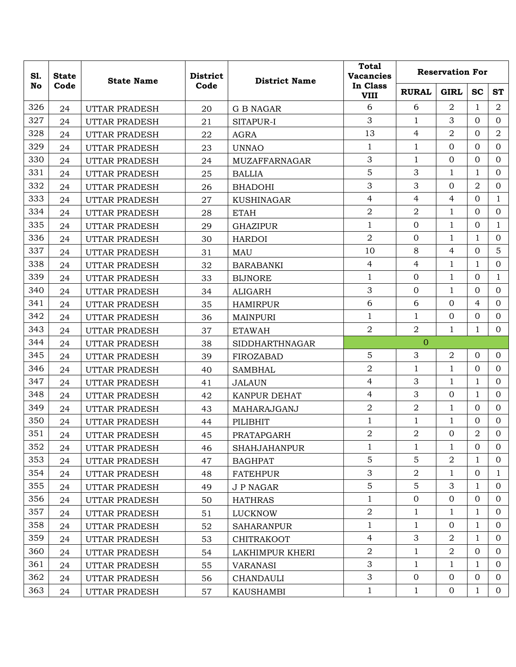| S1. | <b>State</b> | <b>State Name</b>    | <b>District</b> | <b>District Name</b>  | <b>Total</b><br><b>Vacancies</b> | <b>Reservation For</b> |                |                |                |  |
|-----|--------------|----------------------|-----------------|-----------------------|----------------------------------|------------------------|----------------|----------------|----------------|--|
| No  | Code         |                      | Code            |                       | In Class<br><b>VIII</b>          | <b>RURAL</b>           | <b>GIRL</b>    | <b>SC</b>      | <b>ST</b>      |  |
| 326 | 24           | UTTAR PRADESH        | 20              | <b>G B NAGAR</b>      | 6                                | 6                      | 2              | 1              | 2              |  |
| 327 | 24           | UTTAR PRADESH        | 21              | SITAPUR-I             | 3                                | $\mathbf{1}$           | 3              | $\Omega$       | $\Omega$       |  |
| 328 | 24           | <b>UTTAR PRADESH</b> | 22              | <b>AGRA</b>           | 13                               | 4                      | $\overline{2}$ | $\Omega$       | $\overline{2}$ |  |
| 329 | 24           | UTTAR PRADESH        | 23              | <b>UNNAO</b>          | $\mathbf{1}$                     | $\mathbf{1}$           | $\overline{O}$ | $\Omega$       | $\overline{0}$ |  |
| 330 | 24           | <b>UTTAR PRADESH</b> | 24              | MUZAFFARNAGAR         | 3                                | $\mathbf{1}$           | 0              | $\Omega$       | $\Omega$       |  |
| 331 | 24           | UTTAR PRADESH        | 25              | <b>BALLIA</b>         | 5                                | 3                      | 1              | 1              | $\Omega$       |  |
| 332 | 24           | UTTAR PRADESH        | 26              | <b>BHADOHI</b>        | 3                                | 3                      | $\overline{0}$ | $\overline{2}$ | $\overline{0}$ |  |
| 333 | 24           | <b>UTTAR PRADESH</b> | 27              | <b>KUSHINAGAR</b>     | $\overline{4}$                   | 4                      | 4              | 0              | $\mathbf{1}$   |  |
| 334 | 24           | UTTAR PRADESH        | 28              | <b>ETAH</b>           | $\overline{2}$                   | $\overline{2}$         | $\mathbf{1}$   | $\Omega$       | $\overline{0}$ |  |
| 335 | 24           | UTTAR PRADESH        | 29              | <b>GHAZIPUR</b>       | $\mathbf{1}$                     | $\mathbf 0$            | $\mathbf{1}$   | 0              | $\mathbf{1}$   |  |
| 336 | 24           | UTTAR PRADESH        | 30              | <b>HARDOI</b>         | $\overline{2}$                   | $\Omega$               | 1              | $\mathbf{1}$   | $\Omega$       |  |
| 337 | 24           | UTTAR PRADESH        | 31              | <b>MAU</b>            | 10                               | 8                      | 4              | $\Omega$       | 5              |  |
| 338 | 24           | UTTAR PRADESH        | 32              | <b>BARABANKI</b>      | 4                                | 4                      | 1              | 1              | $\Omega$       |  |
| 339 | 24           | UTTAR PRADESH        | 33              | <b>BIJNORE</b>        | 1                                | $\overline{0}$         | $\mathbf{1}$   | $\Omega$       | $\mathbf{1}$   |  |
| 340 | 24           | <b>UTTAR PRADESH</b> | 34              | <b>ALIGARH</b>        | 3                                | $\mathbf 0$            | $\mathbf{1}$   | $\Omega$       | $\Omega$       |  |
| 341 | 24           | <b>UTTAR PRADESH</b> | 35              | <b>HAMIRPUR</b>       | 6                                | 6                      | 0              | 4              | $\Omega$       |  |
| 342 | 24           | UTTAR PRADESH        | 36              | <b>MAINPURI</b>       | 1                                | $\mathbf{1}$           | 0              | 0              | $\Omega$       |  |
| 343 | 24           | UTTAR PRADESH        | 37              | <b>ETAWAH</b>         | $\overline{a}$                   | $\overline{2}$         | $\mathbf{1}$   | 1              | $\Omega$       |  |
| 344 | 24           | UTTAR PRADESH        | 38              | <b>SIDDHARTHNAGAR</b> |                                  | $\overline{0}$         |                |                |                |  |
| 345 | 24           | <b>UTTAR PRADESH</b> | 39              | FIROZABAD             | $\overline{5}$                   | 3                      | $\overline{a}$ | 0              | $\overline{0}$ |  |
| 346 | 24           | UTTAR PRADESH        | 40              | <b>SAMBHAL</b>        | $\overline{2}$                   | $\mathbf{1}$           | $\mathbf{1}$   | $\Omega$       | $\overline{0}$ |  |
| 347 | 24           | UTTAR PRADESH        | 41              | <b>JALAUN</b>         | $\overline{4}$                   | 3                      | $\mathbf{1}$   | $\mathbf{1}$   | $\Omega$       |  |
| 348 | 24           | <b>UTTAR PRADESH</b> | 42              | KANPUR DEHAT          | $\overline{4}$                   | 3                      | 0              | $\mathbf{1}$   | $\Omega$       |  |
| 349 | 24           | UTTAR PRADESH        | 43              | MAHARAJGANJ           | $\overline{2}$                   | $\overline{2}$         | $\mathbf{1}$   | $\Omega$       | $\Omega$       |  |
| 350 | 24           | UTTAR PRADESH        | 44              | PILIBHIT              | $\mathbf 1$                      | $\mathbf{1}$           | 1              | 0              | $\Omega$       |  |
| 351 | 24           | UTTAR PRADESH        | 45              | PRATAPGARH            | $\overline{2}$                   | $\overline{2}$         | 0              | 2              | 0              |  |
| 352 | 24           | UTTAR PRADESH        | 46              | <b>SHAHJAHANPUR</b>   | 1                                | 1                      | 1              | $\overline{0}$ | $\overline{0}$ |  |
| 353 | 24           | UTTAR PRADESH        | 47              | <b>BAGHPAT</b>        | 5                                | 5                      | 2              | 1              | $\overline{0}$ |  |
| 354 | 24           | UTTAR PRADESH        | 48              | <b>FATEHPUR</b>       | 3                                | $\overline{2}$         | $\mathbf{1}$   | 0              | $\mathbf{1}$   |  |
| 355 | 24           | UTTAR PRADESH        | 49              | J P NAGAR             | 5                                | 5                      | 3              | 1              | $\Omega$       |  |
| 356 | 24           | <b>UTTAR PRADESH</b> | 50              | <b>HATHRAS</b>        | $\mathbf{1}$                     | $\overline{0}$         | $\overline{O}$ | $\Omega$       | $\Omega$       |  |
| 357 | 24           | UTTAR PRADESH        | 51              | <b>LUCKNOW</b>        | $\boldsymbol{2}$                 | $\mathbf{1}$           | $\mathbf{1}$   | $\mathbf{1}$   | $\overline{0}$ |  |
| 358 | 24           | UTTAR PRADESH        | 52              | <b>SAHARANPUR</b>     | $\mathbf 1$                      | $\mathbf{1}$           | $\overline{O}$ | $\mathbf{1}$   | $\Omega$       |  |
| 359 | 24           | UTTAR PRADESH        | 53              | <b>CHITRAKOOT</b>     | $\overline{4}$                   | 3                      | $\overline{a}$ | 1              | $\overline{0}$ |  |
| 360 | 24           | UTTAR PRADESH        | 54              | LAKHIMPUR KHERI       | $\sqrt{2}$                       | $\mathbf{1}$           | $\overline{2}$ | $\overline{0}$ | $\overline{0}$ |  |
| 361 | 24           | UTTAR PRADESH        | 55              | <b>VARANASI</b>       | 3                                | $\mathbf{1}$           | $\mathbf{1}$   | $\mathbf{1}$   | $\overline{0}$ |  |
| 362 | 24           | UTTAR PRADESH        | 56              | <b>CHANDAULI</b>      | $\mathfrak{Z}$                   | $\mathbf{0}$           | $\overline{0}$ | $\overline{0}$ | 0              |  |
| 363 | 24           | UTTAR PRADESH        | 57              | <b>KAUSHAMBI</b>      | $\mathbf{1}$                     | $\mathbf{1}$           | $\overline{0}$ | $\mathbf{1}$   | $\overline{0}$ |  |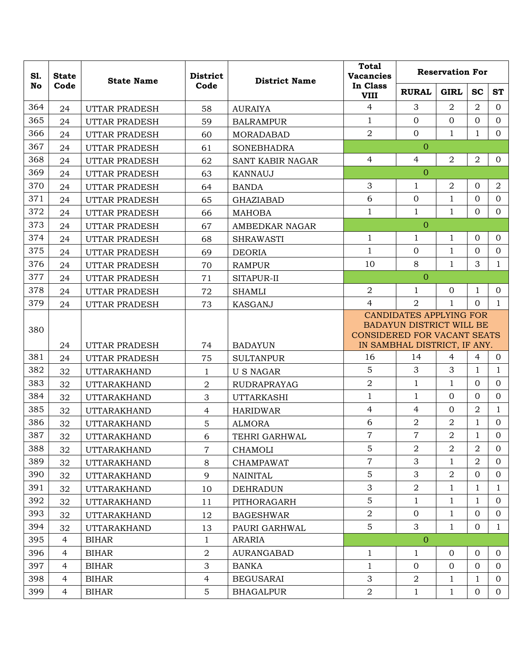| S1.<br><b>State</b> |                | <b>State Name</b>    | <b>District</b><br>Code | <b>District Name</b> | <b>Total</b><br><b>Vacancies</b> | <b>Reservation For</b>                                                                                                           |                |                |                |  |
|---------------------|----------------|----------------------|-------------------------|----------------------|----------------------------------|----------------------------------------------------------------------------------------------------------------------------------|----------------|----------------|----------------|--|
| No                  | Code           |                      |                         |                      | In Class<br><b>VIII</b>          | <b>RURAL</b>                                                                                                                     | <b>GIRL</b>    | <b>SC</b>      | <b>ST</b>      |  |
| 364                 | 24             | UTTAR PRADESH        | 58                      | <b>AURAIYA</b>       | $\overline{4}$                   | 3                                                                                                                                | $\overline{2}$ | $\overline{2}$ | $\Omega$       |  |
| 365                 | 24             | UTTAR PRADESH        | 59                      | <b>BALRAMPUR</b>     | $\mathbf{1}$                     | $\overline{0}$                                                                                                                   | $\overline{0}$ | $\mathbf{0}$   | $\overline{0}$ |  |
| 366                 | 24             | UTTAR PRADESH        | 60                      | <b>MORADABAD</b>     | $\overline{2}$                   | $\mathbf{0}$                                                                                                                     | $\mathbf{1}$   | $\mathbf{1}$   | $\overline{0}$ |  |
| 367                 | 24             | <b>UTTAR PRADESH</b> | 61                      | <b>SONEBHADRA</b>    |                                  | $\overline{0}$                                                                                                                   |                |                |                |  |
| 368                 | 24             | <b>UTTAR PRADESH</b> | 62                      | SANT KABIR NAGAR     | $\overline{4}$                   | $\overline{4}$                                                                                                                   | 2              | $\overline{2}$ | $\overline{0}$ |  |
| 369                 | 24             | UTTAR PRADESH        | 63                      | KANNAUJ              |                                  | $\overline{0}$                                                                                                                   |                |                |                |  |
| 370                 | 24             | UTTAR PRADESH        | 64                      | <b>BANDA</b>         | 3                                | $\mathbf{1}$                                                                                                                     | $\overline{2}$ | $\mathbf{0}$   | $\overline{a}$ |  |
| 371                 | 24             | UTTAR PRADESH        | 65                      | <b>GHAZIABAD</b>     | 6                                | $\Omega$                                                                                                                         | $\mathbf{1}$   | $\mathbf{0}$   | $\overline{0}$ |  |
| 372                 | 24             | <b>UTTAR PRADESH</b> | 66                      | <b>MAHOBA</b>        | $\mathbf{1}$                     | $\mathbf{1}$                                                                                                                     | $\mathbf{1}$   | $\overline{0}$ | $\overline{0}$ |  |
| 373                 | 24             | UTTAR PRADESH        | 67                      | AMBEDKAR NAGAR       |                                  | $\overline{0}$                                                                                                                   |                |                |                |  |
| 374                 | 24             | <b>UTTAR PRADESH</b> | 68                      | <b>SHRAWASTI</b>     | $\mathbf{1}$                     | 1                                                                                                                                | 1              | $\mathbf{0}$   | $\Omega$       |  |
| 375                 | 24             | <b>UTTAR PRADESH</b> | 69                      | <b>DEORIA</b>        | $\mathbf{1}$                     | $\overline{0}$                                                                                                                   | $\mathbf{1}$   | $\Omega$       | $\mathbf{0}$   |  |
| 376                 | 24             | UTTAR PRADESH        | 70                      | <b>RAMPUR</b>        | 10                               | 8                                                                                                                                | 1              | 3              | $\mathbf{1}$   |  |
| 377                 | 24             | UTTAR PRADESH        | 71                      | SITAPUR-II           |                                  | $\overline{0}$                                                                                                                   |                |                |                |  |
| 378                 | 24             | UTTAR PRADESH        | 72                      | <b>SHAMLI</b>        | $\overline{2}$                   | 1                                                                                                                                | $\mathbf{0}$   | $\mathbf{1}$   | $\Omega$       |  |
| 379                 | 24             | UTTAR PRADESH        | 73                      | KASGANJ              | $\overline{4}$                   | $\overline{2}$                                                                                                                   | $\mathbf{1}$   | $\Omega$       | $\mathbf{1}$   |  |
| 380                 | 24             | UTTAR PRADESH        | 74                      | <b>BADAYUN</b>       |                                  | <b>CANDIDATES APPLYING FOR</b><br>BADAYUN DISTRICT WILL BE<br><b>CONSIDERED FOR VACANT SEATS</b><br>IN SAMBHAL DISTRICT, IF ANY. |                |                |                |  |
| 381                 | 24             | UTTAR PRADESH        | 75                      | <b>SULTANPUR</b>     | 16                               | 14                                                                                                                               | $\overline{4}$ | $\overline{4}$ | $\mathbf{0}$   |  |
| 382                 | 32             | <b>UTTARAKHAND</b>   | 1                       | <b>US NAGAR</b>      | 5                                | 3                                                                                                                                | 3              | 1              | $\mathbf{1}$   |  |
| 383                 | 32             | <b>UTTARAKHAND</b>   | $\overline{2}$          | <b>RUDRAPRAYAG</b>   | $\overline{2}$                   | $\mathbf{1}$                                                                                                                     | 1              | $\mathbf{0}$   | $\overline{0}$ |  |
| 384                 | 32             | <b>UTTARAKHAND</b>   | 3                       | <b>UTTARKASHI</b>    | $\mathbf{1}$                     | 1                                                                                                                                | $\mathbf{0}$   | $\mathbf{0}$   | $\mathbf{0}$   |  |
| 385                 | 32             | <b>UTTARAKHAND</b>   | $\overline{4}$          | <b>HARIDWAR</b>      | $\overline{4}$                   | $\overline{4}$                                                                                                                   | $\overline{0}$ | $\overline{2}$ | $\mathbf{1}$   |  |
| 386                 | 32             | <b>UTTARAKHAND</b>   | 5                       | <b>ALMORA</b>        | 6                                | $\overline{2}$                                                                                                                   | $\overline{2}$ | $\mathbf{1}$   | $\mathbf{O}$   |  |
| 387                 | 32             | <b>UTTARAKHAND</b>   | 6                       | TEHRI GARHWAL        | $\overline{7}$                   | $\overline{7}$                                                                                                                   | $\sqrt{2}$     | 1              | $\Omega$       |  |
| 388                 | 32             | <b>UTTARAKHAND</b>   | $\overline{7}$          | CHAMOLI              | 5                                | $\overline{2}$                                                                                                                   | $\overline{2}$ | $\overline{2}$ | $\overline{0}$ |  |
| 389                 | 32             | <b>UTTARAKHAND</b>   | 8                       | <b>CHAMPAWAT</b>     | $\overline{7}$                   | 3                                                                                                                                | 1              | 2              | $\Omega$       |  |
| 390                 | 32             | <b>UTTARAKHAND</b>   | 9                       | <b>NAINITAL</b>      | 5                                | 3                                                                                                                                | $\overline{a}$ | $\overline{0}$ | $\overline{0}$ |  |
| 391                 | 32             | <b>UTTARAKHAND</b>   | 10                      | <b>DEHRADUN</b>      | 3                                | $\overline{2}$                                                                                                                   | $\mathbf{1}$   | 1              | $\mathbf{1}$   |  |
| 392                 | 32             | <b>UTTARAKHAND</b>   | 11                      | PITHORAGARH          | 5                                | $\mathbf{1}$                                                                                                                     | $\mathbf 1$    | $\mathbf{1}$   | $\overline{0}$ |  |
| 393                 | 32             | <b>UTTARAKHAND</b>   | 12                      | <b>BAGESHWAR</b>     | $\overline{a}$                   | $\overline{0}$                                                                                                                   | $\mathbf{1}$   | $\overline{0}$ | $\overline{0}$ |  |
| 394                 | 32             | <b>UTTARAKHAND</b>   | 13                      | PAURI GARHWAL        | 5 <sup>5</sup>                   | 3                                                                                                                                | 1              | $\overline{0}$ | $\mathbf{1}$   |  |
| 395                 | $\overline{4}$ | <b>BIHAR</b>         | $\mathbf{1}$            | <b>ARARIA</b>        |                                  | $\overline{0}$                                                                                                                   |                |                |                |  |
| 396                 | $\overline{4}$ | <b>BIHAR</b>         | $\overline{2}$          | <b>AURANGABAD</b>    | 1                                | $\mathbf{1}$                                                                                                                     | $\overline{0}$ | $\overline{0}$ | $\overline{0}$ |  |
| 397                 | $\overline{4}$ | <b>BIHAR</b>         | 3                       | <b>BANKA</b>         | $\mathbf{1}$                     | $\mathbf{0}$                                                                                                                     | $\mathbf{O}$   | $\overline{0}$ | $\overline{0}$ |  |
| 398                 | $\overline{4}$ | <b>BIHAR</b>         | $\overline{4}$          | <b>BEGUSARAI</b>     | 3                                | $\overline{2}$                                                                                                                   | $\mathbf{1}$   | $\mathbf{1}$   | $\overline{0}$ |  |
| 399                 | $\overline{4}$ | <b>BIHAR</b>         | $\overline{5}$          | <b>BHAGALPUR</b>     | $\overline{2}$                   | $\mathbf{1}$                                                                                                                     | $\mathbf 1$    | $\mathbf{0}$   | $\overline{0}$ |  |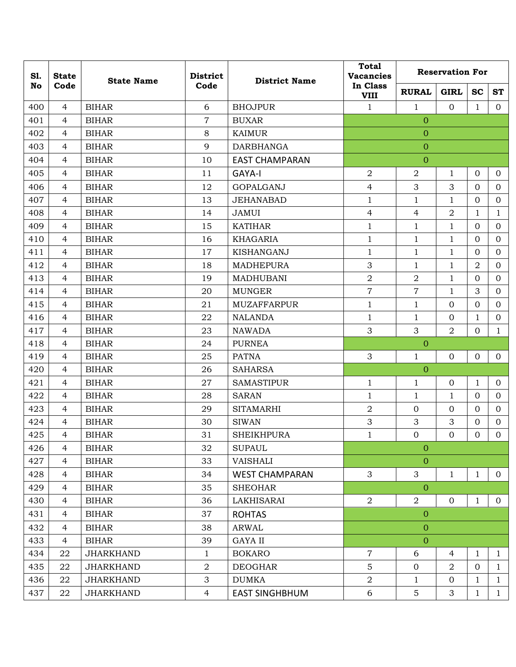| S1.<br><b>State</b> |                | <b>State Name</b> | <b>District</b><br>Code | <b>District Name</b>  | <b>Total</b><br><b>Vacancies</b> | <b>Reservation For</b> |                |                |                |  |
|---------------------|----------------|-------------------|-------------------------|-----------------------|----------------------------------|------------------------|----------------|----------------|----------------|--|
| No                  | Code           |                   |                         |                       | In Class<br><b>VIII</b>          | <b>RURAL</b>           | <b>GIRL</b>    | <b>SC</b>      | <b>ST</b>      |  |
| 400                 | $\overline{4}$ | <b>BIHAR</b>      | 6                       | <b>BHOJPUR</b>        | $\mathbf{1}$                     | $\mathbf{1}$           | $\overline{0}$ | $\mathbf{1}$   | $\overline{0}$ |  |
| 401                 | 4              | <b>BIHAR</b>      | $\overline{7}$          | <b>BUXAR</b>          |                                  | $\overline{0}$         |                |                |                |  |
| 402                 | 4              | <b>BIHAR</b>      | 8                       | <b>KAIMUR</b>         |                                  | $\theta$               |                |                |                |  |
| 403                 | $\overline{4}$ | <b>BIHAR</b>      | 9                       | <b>DARBHANGA</b>      |                                  | $\mathbf{O}$           |                |                |                |  |
| 404                 | 4              | <b>BIHAR</b>      | 10                      | <b>EAST CHAMPARAN</b> |                                  | $\overline{0}$         |                |                |                |  |
| 405                 | 4              | <b>BIHAR</b>      | 11                      | <b>GAYA-I</b>         | 2                                | $\overline{2}$         | $\mathbf{1}$   | $\mathbf{O}$   | $\mathbf{0}$   |  |
| 406                 | $\overline{4}$ | <b>BIHAR</b>      | 12                      | <b>GOPALGANJ</b>      | $\overline{4}$                   | 3                      | 3              | $\mathbf{O}$   | $\overline{0}$ |  |
| 407                 | 4              | <b>BIHAR</b>      | 13                      | <b>JEHANABAD</b>      | $\mathbf{1}$                     | $\mathbf{1}$           | $\mathbf{1}$   | $\mathbf{O}$   | $\mathbf{O}$   |  |
| 408                 | 4              | <b>BIHAR</b>      | 14                      | <b>JAMUI</b>          | $\overline{4}$                   | $\overline{4}$         | $\overline{2}$ | 1              | $\mathbf{1}$   |  |
| 409                 | $\overline{4}$ | <b>BIHAR</b>      | 15                      | <b>KATIHAR</b>        | $\mathbf{1}$                     | $\mathbf{1}$           | $\mathbf{1}$   | $\Omega$       | $\overline{0}$ |  |
| 410                 | 4              | <b>BIHAR</b>      | 16                      | <b>KHAGARIA</b>       | $\mathbf{1}$                     | 1                      | $\mathbf{1}$   | $\mathbf{0}$   | $\Omega$       |  |
| 411                 | $\overline{4}$ | <b>BIHAR</b>      | 17                      | KISHANGANJ            | $\mathbf 1$                      | $\mathbf{1}$           | $\mathbf{1}$   | $\mathbf{O}$   | $\mathbf{0}$   |  |
| 412                 | $\overline{4}$ | <b>BIHAR</b>      | 18                      | <b>MADHEPURA</b>      | 3                                | $\mathbf{1}$           | $\mathbf{1}$   | $\overline{a}$ | $\overline{0}$ |  |
| 413                 | $\overline{4}$ | <b>BIHAR</b>      | 19                      | <b>MADHUBANI</b>      | $\overline{2}$                   | $\overline{2}$         | $\mathbf{1}$   | $\mathbf{O}$   | $\overline{0}$ |  |
| 414                 | 4              | <b>BIHAR</b>      | 20                      | <b>MUNGER</b>         | $\overline{7}$                   | $\overline{7}$         | $\mathbf{1}$   | 3              | $\Omega$       |  |
| 415                 | 4              | <b>BIHAR</b>      | 21                      | <b>MUZAFFARPUR</b>    | $\mathbf{1}$                     | $\mathbf{1}$           | $\mathbf{0}$   | $\Omega$       | $\overline{0}$ |  |
| 416                 | 4              | <b>BIHAR</b>      | 22                      | <b>NALANDA</b>        | $\mathbf{1}$                     | $\mathbf{1}$           | $\mathbf{0}$   | $\mathbf{1}$   | $\overline{0}$ |  |
| 417                 | 4              | <b>BIHAR</b>      | 23                      | <b>NAWADA</b>         | 3                                | 3                      | $\overline{2}$ | $\mathbf{0}$   | $\mathbf{1}$   |  |
| 418                 | $\overline{4}$ | <b>BIHAR</b>      | 24                      | <b>PURNEA</b>         |                                  | $\overline{0}$         |                |                |                |  |
| 419                 | 4              | <b>BIHAR</b>      | 25                      | <b>PATNA</b>          | 3                                | $\mathbf{1}$           | $\overline{0}$ | $\overline{0}$ | $\mathbf{O}$   |  |
| 420                 | 4              | <b>BIHAR</b>      | 26                      | <b>SAHARSA</b>        |                                  | $\overline{0}$         |                |                |                |  |
| 421                 | $\overline{4}$ | <b>BIHAR</b>      | 27                      | <b>SAMASTIPUR</b>     | $\mathbf{1}$                     | $\mathbf{1}$           | $\overline{0}$ | $\mathbf{1}$   | $\mathbf{0}$   |  |
| 422                 | 4              | <b>BIHAR</b>      | 28                      | <b>SARAN</b>          | $\mathbf{1}$                     | 1                      | $\mathbf{1}$   | $\mathbf{0}$   | $\Omega$       |  |
| 423                 | $\overline{4}$ | <b>BIHAR</b>      | 29                      | <b>SITAMARHI</b>      | 2                                | $\mathbf{0}$           | $\mathbf{0}$   | $\mathbf{0}$   | $\overline{0}$ |  |
| 424                 | $\overline{4}$ | <b>BIHAR</b>      | 30                      | <b>SIWAN</b>          | 3                                | 3                      | 3              | $\mathbf{0}$   | $\mathbf{O}$   |  |
| 425                 | $\overline{4}$ | <b>BIHAR</b>      | 31                      | <b>SHEIKHPURA</b>     | $\mathbf{1}$                     | $\mathbf{0}$           | $\mathbf 0$    | $\Omega$       | $\overline{0}$ |  |
| 426                 | 4              | <b>BIHAR</b>      | 32                      | <b>SUPAUL</b>         |                                  | $\overline{0}$         |                |                |                |  |
| 427                 | $\overline{4}$ | <b>BIHAR</b>      | 33                      | VAISHALI              |                                  | $\overline{0}$         |                |                |                |  |
| 428                 | $\overline{4}$ | <b>BIHAR</b>      | 34                      | <b>WEST CHAMPARAN</b> | 3                                | $\sqrt{3}$             | $\mathbf{1}$   | $\mathbf{1}$   | $\overline{0}$ |  |
| 429                 | $\overline{4}$ | <b>BIHAR</b>      | 35                      | <b>SHEOHAR</b>        |                                  | $\overline{0}$         |                |                |                |  |
| 430                 | $\overline{4}$ | <b>BIHAR</b>      | 36                      | LAKHISARAI            | $\overline{2}$                   | $\boldsymbol{2}$       | $\mathbf{0}$   | $\mathbf{1}$   | $\overline{0}$ |  |
| 431                 | $\overline{4}$ | <b>BIHAR</b>      | 37                      | <b>ROHTAS</b>         |                                  | $\mathbf{O}$           |                |                |                |  |
| 432                 | $\overline{4}$ | <b>BIHAR</b>      | 38                      | <b>ARWAL</b>          |                                  | $\theta$               |                |                |                |  |
| 433                 | $\overline{4}$ | <b>BIHAR</b>      | 39                      | <b>GAYA II</b>        |                                  | $\mathbf{O}$           |                |                |                |  |
| 434                 | 22             | <b>JHARKHAND</b>  | $\mathbf{1}$            | <b>BOKARO</b>         | $\overline{7}$                   | 6                      | $\overline{4}$ | $\mathbf{1}$   | $\mathbf{1}$   |  |
| 435                 | 22             | <b>JHARKHAND</b>  | $\sqrt{2}$              | <b>DEOGHAR</b>        | 5                                | $\mathbf{0}$           | $\overline{2}$ | $\mathbf{0}$   | $\mathbf{1}$   |  |
| 436                 | 22             | <b>JHARKHAND</b>  | 3                       | <b>DUMKA</b>          | $\overline{a}$                   | $\mathbf{1}$           | $\mathbf{O}$   | $\mathbf{1}$   | $\mathbf{1}$   |  |
| 437                 | 22             | <b>JHARKHAND</b>  | $\overline{4}$          | <b>EAST SINGHBHUM</b> | 6                                | $\overline{5}$         | 3              | $\mathbf{1}$   | $\mathbf{1}$   |  |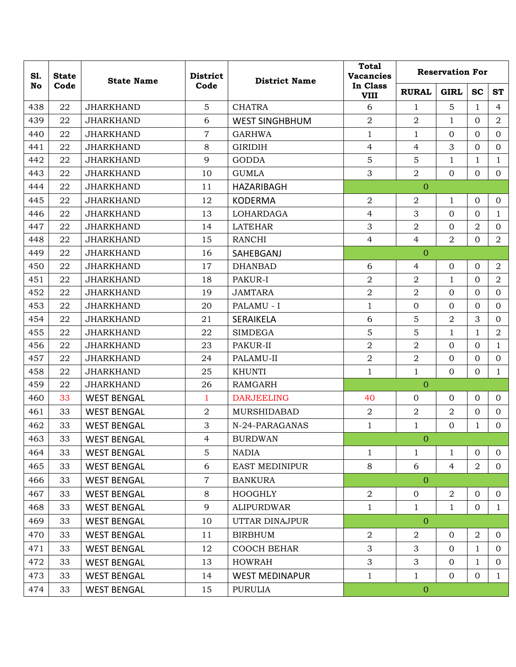| S1. | <b>State</b> | <b>State Name</b>  | <b>District</b> | <b>District Name</b>  | <b>Total</b><br><b>Vacancies</b> | <b>Reservation For</b> |                |                |                |  |
|-----|--------------|--------------------|-----------------|-----------------------|----------------------------------|------------------------|----------------|----------------|----------------|--|
| No  | Code         |                    | Code            |                       | In Class<br><b>VIII</b>          | <b>RURAL</b>           | <b>GIRL</b>    | <b>SC</b>      | <b>ST</b>      |  |
| 438 | 22           | <b>JHARKHAND</b>   | 5               | <b>CHATRA</b>         | 6                                | 1                      | 5              | 1              | 4              |  |
| 439 | 22           | <b>JHARKHAND</b>   | 6               | <b>WEST SINGHBHUM</b> | $\overline{2}$                   | $\overline{2}$         | $\mathbf 1$    | $\mathbf{0}$   | $\overline{2}$ |  |
| 440 | 22           | <b>JHARKHAND</b>   | $\overline{7}$  | <b>GARHWA</b>         | $\mathbf{1}$                     | $\mathbf{1}$           | $\mathbf{0}$   | $\mathbf{0}$   | $\overline{0}$ |  |
| 441 | 22           | <b>JHARKHAND</b>   | 8               | <b>GIRIDIH</b>        | 4                                | $\overline{4}$         | 3              | $\mathbf{0}$   | $\mathbf{0}$   |  |
| 442 | 22           | <b>JHARKHAND</b>   | 9               | <b>GODDA</b>          | 5                                | 5                      | $\mathbf{1}$   | $\mathbf{1}$   | $\mathbf{1}$   |  |
| 443 | 22           | <b>JHARKHAND</b>   | 10              | <b>GUMLA</b>          | 3                                | $\overline{2}$         | $\Omega$       | $\mathbf{0}$   | $\overline{0}$ |  |
| 444 | 22           | <b>JHARKHAND</b>   | 11              | HAZARIBAGH            |                                  | $\overline{0}$         |                |                |                |  |
| 445 | 22           | <b>JHARKHAND</b>   | 12              | <b>KODERMA</b>        | $\overline{2}$                   | $\overline{2}$         | $\mathbf{1}$   | $\mathbf{0}$   | $\mathbf{0}$   |  |
| 446 | 22           | <b>JHARKHAND</b>   | 13              | LOHARDAGA             | 4                                | 3                      | $\mathbf{0}$   | $\mathbf{0}$   | $\mathbf{1}$   |  |
| 447 | 22           | <b>JHARKHAND</b>   | 14              | <b>LATEHAR</b>        | 3                                | $\overline{2}$         | $\mathbf{0}$   | $\overline{2}$ | $\overline{0}$ |  |
| 448 | 22           | <b>JHARKHAND</b>   | 15              | <b>RANCHI</b>         | 4                                | 4                      | 2              | $\mathbf{0}$   | $\overline{2}$ |  |
| 449 | 22           | <b>JHARKHAND</b>   | 16              | SAHEBGANJ             |                                  | $\overline{0}$         |                |                |                |  |
| 450 | 22           | <b>JHARKHAND</b>   | 17              | <b>DHANBAD</b>        | 6                                | $\overline{4}$         | $\mathbf{0}$   | $\mathbf{0}$   | $\overline{2}$ |  |
| 451 | 22           | <b>JHARKHAND</b>   | 18              | PAKUR-I               | $\overline{2}$                   | $\overline{2}$         | $\mathbf{1}$   | $\mathbf{0}$   | $\overline{2}$ |  |
| 452 | 22           | <b>JHARKHAND</b>   | 19              | <b>JAMTARA</b>        | $\overline{a}$                   | $\overline{2}$         | $\mathbf{0}$   | $\mathbf{0}$   | $\mathbf{0}$   |  |
| 453 | 22           | <b>JHARKHAND</b>   | 20              | PALAMU - I            | $\mathbf{1}$                     | $\mathbf{0}$           | $\Omega$       | $\Omega$       | $\mathbf{0}$   |  |
| 454 | 22           | <b>JHARKHAND</b>   | 21              | <b>SERAIKELA</b>      | 6                                | 5                      | 2              | 3              | $\mathbf{0}$   |  |
| 455 | 22           | <b>JHARKHAND</b>   | 22              | <b>SIMDEGA</b>        | 5                                | 5                      | $\mathbf{1}$   | $\mathbf{1}$   | $\overline{2}$ |  |
| 456 | 22           | <b>JHARKHAND</b>   | 23              | PAKUR-II              | $\overline{2}$                   | $\overline{2}$         | $\mathbf{0}$   | $\mathbf{0}$   | $\mathbf{1}$   |  |
| 457 | 22           | <b>JHARKHAND</b>   | 24              | PALAMU-II             | $\overline{2}$                   | $\overline{2}$         | $\mathbf{0}$   | $\mathbf{0}$   | $\mathbf 0$    |  |
| 458 | 22           | <b>JHARKHAND</b>   | 25              | <b>KHUNTI</b>         | $\mathbf{1}$                     | $\mathbf{1}$           | $\mathbf{0}$   | $\Omega$       | $\mathbf{1}$   |  |
| 459 | 22           | <b>JHARKHAND</b>   | 26              | <b>RAMGARH</b>        |                                  | $\overline{0}$         |                |                |                |  |
| 460 | 33           | <b>WEST BENGAL</b> | $\mathbf{1}$    | <b>DARJEELING</b>     | 40                               | $\mathbf{0}$           | $\mathbf{0}$   | $\mathbf{0}$   | $\overline{0}$ |  |
| 461 | 33           | <b>WEST BENGAL</b> | $\overline{a}$  | MURSHIDABAD           | $\overline{a}$                   | $\overline{2}$         | $\overline{2}$ | $\mathbf{0}$   | $\mathbf{0}$   |  |
| 462 | 33           | <b>WEST BENGAL</b> | 3               | N-24-PARAGANAS        | $\mathbf{1}$                     | 1                      | $\Omega$       | $\mathbf{1}$   | $\mathbf{0}$   |  |
| 463 | 33           | <b>WEST BENGAL</b> | $\overline{4}$  | <b>BURDWAN</b>        |                                  | $\overline{0}$         |                |                |                |  |
| 464 | 33           | <b>WEST BENGAL</b> | $\overline{5}$  | <b>NADIA</b>          | $\mathbf{1}$                     | $\mathbf{1}$           | $\mathbf{1}$   | $\mathbf{0}$   | $\overline{0}$ |  |
| 465 | 33           | <b>WEST BENGAL</b> | 6               | <b>EAST MEDINIPUR</b> | 8                                | 6                      | $\overline{4}$ | $\overline{2}$ | $\overline{0}$ |  |
| 466 | 33           | <b>WEST BENGAL</b> | $\overline{7}$  | <b>BANKURA</b>        |                                  | $\overline{0}$         |                |                |                |  |
| 467 | 33           | <b>WEST BENGAL</b> | 8               | <b>HOOGHLY</b>        | $\overline{2}$                   | $\mathbf 0$            | $\overline{2}$ | $\mathbf{0}$   | $\overline{0}$ |  |
| 468 | 33           | <b>WEST BENGAL</b> | 9               | <b>ALIPURDWAR</b>     | $\mathbf{1}$                     | $\mathbf{1}$           | $\mathbf{1}$   | $\overline{0}$ | $\mathbf{1}$   |  |
| 469 | 33           | <b>WEST BENGAL</b> | 10              | UTTAR DINAJPUR        |                                  | $\overline{O}$         |                |                |                |  |
| 470 | 33           | <b>WEST BENGAL</b> | 11              | <b>BIRBHUM</b>        | $\overline{2}$                   | $\overline{2}$         | $\mathbf{0}$   | $\overline{2}$ | $\overline{0}$ |  |
| 471 | 33           | <b>WEST BENGAL</b> | 12              | COOCH BEHAR           | 3                                | 3                      | $\mathbf{0}$   | $\mathbf{1}$   | $\Omega$       |  |
| 472 | 33           | <b>WEST BENGAL</b> | 13              | <b>HOWRAH</b>         | 3                                | 3                      | $\mathbf{0}$   | $\mathbf 1$    | $\overline{0}$ |  |
| 473 | 33           | <b>WEST BENGAL</b> | 14              | <b>WEST MEDINAPUR</b> | $\mathbf{1}$                     | $\mathbf{1}$           | $\mathbf{0}$   | $\mathbf{0}$   | $\mathbf{1}$   |  |
| 474 | 33           | <b>WEST BENGAL</b> | 15              | <b>PURULIA</b>        |                                  | $\mathbf{0}$           |                |                |                |  |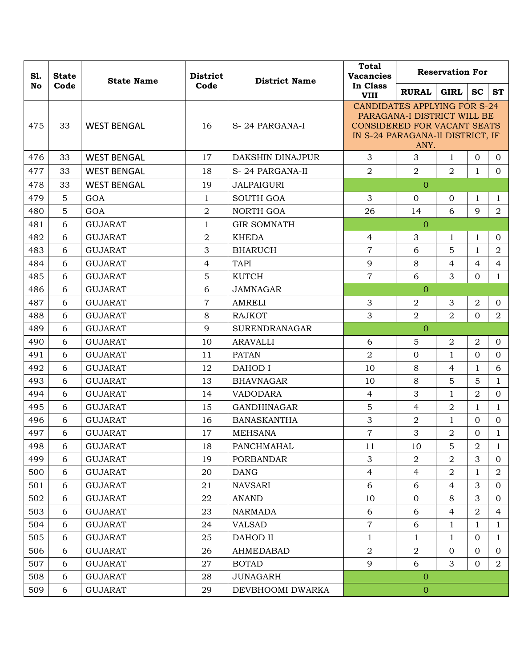| S1. | <b>State</b> | <b>State Name</b>  | <b>District</b> | <b>District Name</b> | <b>Total</b><br><b>Vacancies</b>                                                                                                                     |                | <b>Reservation For</b> |                |                |  |
|-----|--------------|--------------------|-----------------|----------------------|------------------------------------------------------------------------------------------------------------------------------------------------------|----------------|------------------------|----------------|----------------|--|
| No  | Code         |                    | Code            |                      | In Class<br><b>VIII</b>                                                                                                                              | <b>RURAL</b>   | <b>GIRL</b>            | <b>SC</b>      | <b>ST</b>      |  |
| 475 | 33           | <b>WEST BENGAL</b> | 16              | S-24 PARGANA-I       | <b>CANDIDATES APPLYING FOR S-24</b><br>PARAGANA-I DISTRICT WILL BE<br><b>CONSIDERED FOR VACANT SEATS</b><br>IN S-24 PARAGANA-II DISTRICT, IF<br>ANY. |                |                        |                |                |  |
| 476 | 33           | <b>WEST BENGAL</b> | 17              | DAKSHIN DINAJPUR     | 3                                                                                                                                                    | 3              | $\mathbf{1}$           | $\overline{0}$ | $\overline{0}$ |  |
| 477 | 33           | <b>WEST BENGAL</b> | 18              | S-24 PARGANA-II      | $\overline{2}$                                                                                                                                       | $\overline{2}$ | $\overline{2}$         | $\mathbf{1}$   | $\mathbf{0}$   |  |
| 478 | 33           | <b>WEST BENGAL</b> | 19              | <b>JALPAIGURI</b>    |                                                                                                                                                      | $\Omega$       |                        |                |                |  |
| 479 | 5            | GOA                | $\mathbf{1}$    | <b>SOUTH GOA</b>     | 3                                                                                                                                                    | $\Omega$       | $\mathbf{0}$           | $\mathbf{1}$   | $\mathbf{1}$   |  |
| 480 | 5            | GOA                | $\overline{2}$  | NORTH GOA            | 26                                                                                                                                                   | 14             | 6                      | 9              | $\overline{a}$ |  |
| 481 | 6            | <b>GUJARAT</b>     | 1               | <b>GIR SOMNATH</b>   |                                                                                                                                                      | $\Omega$       |                        |                |                |  |
| 482 | 6            | <b>GUJARAT</b>     | $\overline{2}$  | <b>KHEDA</b>         | $\overline{4}$                                                                                                                                       | 3              | $\mathbf{1}$           | $\mathbf{1}$   | $\Omega$       |  |
| 483 | 6            | <b>GUJARAT</b>     | 3               | <b>BHARUCH</b>       | $\overline{7}$                                                                                                                                       | 6              | 5                      | $\mathbf{1}$   | $\overline{2}$ |  |
| 484 | 6            | <b>GUJARAT</b>     | $\overline{4}$  | <b>TAPI</b>          | 9                                                                                                                                                    | 8              | 4                      | 4              | 4              |  |
| 485 | 6            | <b>GUJARAT</b>     | 5               | <b>KUTCH</b>         | $\overline{7}$                                                                                                                                       | 6              | 3                      | $\overline{0}$ | $\mathbf{1}$   |  |
| 486 | 6            | <b>GUJARAT</b>     | 6               | <b>JAMNAGAR</b>      |                                                                                                                                                      | $\Omega$       |                        |                |                |  |
| 487 | 6            | <b>GUJARAT</b>     | $\overline{7}$  | AMRELI               | 3                                                                                                                                                    | $\overline{2}$ | 3                      | $\overline{2}$ | $\mathbf{0}$   |  |
| 488 | 6            | <b>GUJARAT</b>     | 8               | <b>RAJKOT</b>        | 3                                                                                                                                                    | $\overline{2}$ | 2                      | $\overline{0}$ | $\overline{2}$ |  |
| 489 | 6            | <b>GUJARAT</b>     | 9               | <b>SURENDRANAGAR</b> |                                                                                                                                                      | $\overline{0}$ |                        |                |                |  |
| 490 | 6            | <b>GUJARAT</b>     | 10              | <b>ARAVALLI</b>      | 6                                                                                                                                                    | 5              | $\overline{2}$         | $\overline{2}$ | $\overline{0}$ |  |
| 491 | 6            | <b>GUJARAT</b>     | 11              | <b>PATAN</b>         | $\overline{2}$                                                                                                                                       | $\mathbf{0}$   | $\mathbf{1}$           | $\mathbf{0}$   | $\Omega$       |  |
| 492 | 6            | <b>GUJARAT</b>     | 12              | <b>DAHOD I</b>       | 10                                                                                                                                                   | 8              | $\overline{4}$         | $\mathbf{1}$   | 6              |  |
| 493 | 6            | <b>GUJARAT</b>     | 13              | <b>BHAVNAGAR</b>     | 10                                                                                                                                                   | 8              | 5                      | 5              | $\mathbf{1}$   |  |
| 494 | 6            | <b>GUJARAT</b>     | 14              | <b>VADODARA</b>      | $\overline{4}$                                                                                                                                       | 3              | $\mathbf{1}$           | $\overline{2}$ | $\overline{0}$ |  |
| 495 | 6            | <b>GUJARAT</b>     | 15              | <b>GANDHINAGAR</b>   | 5                                                                                                                                                    | $\overline{4}$ | $\overline{2}$         | $\mathbf{1}$   | $\mathbf{1}$   |  |
| 496 | 6            | <b>GUJARAT</b>     | 16              | <b>BANASKANTHA</b>   | 3                                                                                                                                                    | $\overline{2}$ | $\mathbf{1}$           | $\overline{0}$ | $\Omega$       |  |
| 497 | 6            | <b>GUJARAT</b>     | 17              | <b>MEHSANA</b>       | $\overline{7}$                                                                                                                                       | 3              | $\overline{2}$         | $\Omega$       | $\mathbf{1}$   |  |
| 498 | 6            | <b>GUJARAT</b>     | 18              | PANCHMAHAL           | 11                                                                                                                                                   | 10             | 5                      | $\overline{a}$ | $\mathbf{1}$   |  |
| 499 | 6            | <b>GUJARAT</b>     | 19              | <b>PORBANDAR</b>     | 3                                                                                                                                                    | 2              | $\overline{a}$         | 3              | $\overline{0}$ |  |
| 500 | 6            | <b>GUJARAT</b>     | 20              | <b>DANG</b>          | $\overline{4}$                                                                                                                                       | $\overline{4}$ | $\overline{2}$         | $\mathbf{1}$   | $\overline{2}$ |  |
| 501 | 6            | <b>GUJARAT</b>     | 21              | <b>NAVSARI</b>       | 6                                                                                                                                                    | 6              | $\overline{4}$         | 3              | $\overline{0}$ |  |
| 502 | 6            | <b>GUJARAT</b>     | 22              | <b>ANAND</b>         | 10                                                                                                                                                   | $\mathbf 0$    | 8                      | 3              | $\overline{0}$ |  |
| 503 | 6            | <b>GUJARAT</b>     | 23              | <b>NARMADA</b>       | 6                                                                                                                                                    | 6              | $\overline{4}$         | $\overline{a}$ | 4              |  |
| 504 | 6            | <b>GUJARAT</b>     | 24              | <b>VALSAD</b>        | $\overline{7}$                                                                                                                                       | 6              | $\mathbf{1}$           | $\mathbf{1}$   | $\mathbf{1}$   |  |
| 505 | 6            | <b>GUJARAT</b>     | 25              | DAHOD II             | 1                                                                                                                                                    | 1              | $\mathbf{1}$           | $\overline{0}$ | 1              |  |
| 506 | 6            | <b>GUJARAT</b>     | 26              | AHMEDABAD            | $\overline{a}$                                                                                                                                       | $\overline{2}$ | $\overline{0}$         | $\overline{0}$ | $\Omega$       |  |
| 507 | 6            | <b>GUJARAT</b>     | 27              | <b>BOTAD</b>         | 9                                                                                                                                                    | 6              | 3                      | $\overline{0}$ | $\overline{2}$ |  |
| 508 | 6            | <b>GUJARAT</b>     | 28              | <b>JUNAGARH</b>      |                                                                                                                                                      | $\overline{0}$ |                        |                |                |  |
| 509 | 6            | <b>GUJARAT</b>     | 29              | DEVBHOOMI DWARKA     |                                                                                                                                                      | $\mathbf 0$    |                        |                |                |  |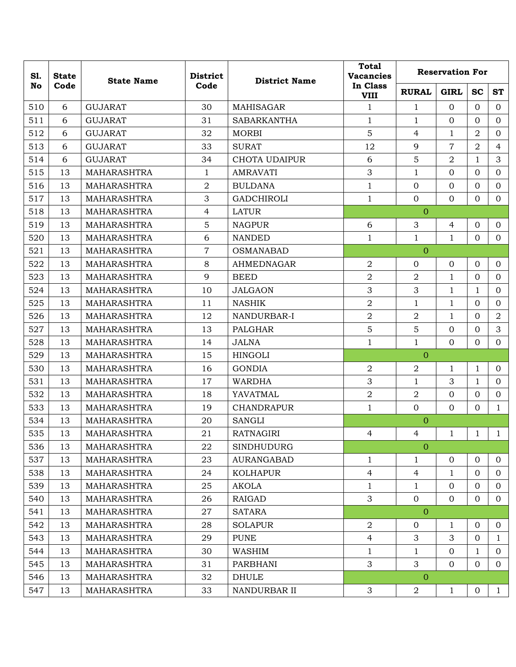| S1. | <b>State</b> | <b>State Name</b>  | <b>District</b> | <b>District Name</b> | <b>Total</b><br><b>Vacancies</b> |                | <b>Reservation For</b> |                |                |  |  |
|-----|--------------|--------------------|-----------------|----------------------|----------------------------------|----------------|------------------------|----------------|----------------|--|--|
| No  | Code         |                    | Code            |                      | In Class<br><b>VIII</b>          | <b>RURAL</b>   | <b>GIRL</b>            | <b>SC</b>      | <b>ST</b>      |  |  |
| 510 | 6            | <b>GUJARAT</b>     | 30              | <b>MAHISAGAR</b>     | $\mathbf{1}$                     | $\mathbf{1}$   | $\Omega$               | $\Omega$       | $\Omega$       |  |  |
| 511 | 6            | <b>GUJARAT</b>     | 31              | <b>SABARKANTHA</b>   | $\mathbf{1}$                     | $\mathbf{1}$   | $\mathbf{0}$           | $\mathbf{0}$   | $\overline{0}$ |  |  |
| 512 | 6            | <b>GUJARAT</b>     | 32              | <b>MORBI</b>         | 5                                | $\overline{4}$ | $\mathbf{1}$           | $\overline{2}$ | $\mathbf{0}$   |  |  |
| 513 | 6            | <b>GUJARAT</b>     | 33              | <b>SURAT</b>         | 12                               | 9              | $\overline{7}$         | $\overline{2}$ | $\overline{4}$ |  |  |
| 514 | 6            | <b>GUJARAT</b>     | 34              | <b>CHOTA UDAIPUR</b> | 6                                | 5              | $\overline{2}$         | $\mathbf{1}$   | 3              |  |  |
| 515 | 13           | <b>MAHARASHTRA</b> | $\mathbf{1}$    | <b>AMRAVATI</b>      | 3                                | $\mathbf{1}$   | $\mathbf{0}$           | $\mathbf{0}$   | $\mathbf{0}$   |  |  |
| 516 | 13           | <b>MAHARASHTRA</b> | $\overline{2}$  | <b>BULDANA</b>       | $\mathbf{1}$                     | $\mathbf 0$    | $\mathbf{0}$           | $\mathbf{0}$   | $\mathbf{0}$   |  |  |
| 517 | 13           | <b>MAHARASHTRA</b> | 3               | <b>GADCHIROLI</b>    | $\mathbf{1}$                     | $\mathbf 0$    | $\mathbf{0}$           | $\mathbf{0}$   | $\mathbf{0}$   |  |  |
| 518 | 13           | <b>MAHARASHTRA</b> | $\overline{4}$  | <b>LATUR</b>         |                                  | $\overline{0}$ |                        |                |                |  |  |
| 519 | 13           | <b>MAHARASHTRA</b> | 5               | <b>NAGPUR</b>        | 6                                | 3              | $\overline{4}$         | $\mathbf{0}$   | $\mathbf{0}$   |  |  |
| 520 | 13           | <b>MAHARASHTRA</b> | 6               | <b>NANDED</b>        | $\mathbf{1}$                     | $\mathbf{1}$   | $\mathbf{1}$           | $\Omega$       | $\Omega$       |  |  |
| 521 | 13           | MAHARASHTRA        | $\overline{7}$  | <b>OSMANABAD</b>     |                                  | $\overline{0}$ |                        |                |                |  |  |
| 522 | 13           | <b>MAHARASHTRA</b> | 8               | AHMEDNAGAR           | 2                                | $\overline{0}$ | $\mathbf{0}$           | $\mathbf{0}$   | $\overline{0}$ |  |  |
| 523 | 13           | <b>MAHARASHTRA</b> | 9               | <b>BEED</b>          | $\overline{2}$                   | $\overline{2}$ | $\mathbf{1}$           | $\overline{0}$ | $\mathbf{0}$   |  |  |
| 524 | 13           | <b>MAHARASHTRA</b> | 10              | <b>JALGAON</b>       | 3                                | 3              | $\mathbf{1}$           | $\mathbf{1}$   | $\mathbf{0}$   |  |  |
| 525 | 13           | <b>MAHARASHTRA</b> | 11              | <b>NASHIK</b>        | $\overline{2}$                   | $\mathbf{1}$   | $\mathbf 1$            | $\mathbf{0}$   | $\mathbf{0}$   |  |  |
| 526 | 13           | <b>MAHARASHTRA</b> | 12              | NANDURBAR-I          | $\overline{2}$                   | 2              | $\mathbf{1}$           | $\mathbf{0}$   | $\overline{2}$ |  |  |
| 527 | 13           | <b>MAHARASHTRA</b> | 13              | PALGHAR              | 5                                | 5              | $\mathbf{0}$           | $\mathbf{0}$   | 3              |  |  |
| 528 | 13           | MAHARASHTRA        | 14              | <b>JALNA</b>         | $\mathbf{1}$                     | $\mathbf{1}$   | $\mathbf{0}$           | $\overline{0}$ | $\mathbf{0}$   |  |  |
| 529 | 13           | <b>MAHARASHTRA</b> | 15              | <b>HINGOLI</b>       |                                  | $\Omega$       |                        |                |                |  |  |
| 530 | 13           | <b>MAHARASHTRA</b> | 16              | <b>GONDIA</b>        | $\overline{2}$                   | $\overline{2}$ | $\mathbf 1$            | $\mathbf{1}$   | $\overline{0}$ |  |  |
| 531 | 13           | MAHARASHTRA        | 17              | <b>WARDHA</b>        | 3                                | $\mathbf{1}$   | 3                      | $\mathbf{1}$   | $\mathbf{0}$   |  |  |
| 532 | 13           | <b>MAHARASHTRA</b> | 18              | YAVATMAL             | $\sqrt{2}$                       | $\overline{2}$ | $\mathbf{0}$           | $\mathbf{0}$   | $\mathbf 0$    |  |  |
| 533 | 13           | MAHARASHTRA        | 19              | <b>CHANDRAPUR</b>    | $\mathbf{1}$                     | $\mathbf{0}$   | $\mathbf{0}$           | $\mathbf{0}$   | $\mathbf{1}$   |  |  |
| 534 | 13           | <b>MAHARASHTRA</b> | 20              | <b>SANGLI</b>        |                                  | $\Omega$       |                        |                |                |  |  |
| 535 | 13           | <b>MAHARASHTRA</b> | 21              | <b>RATNAGIRI</b>     | 4                                | $\overline{4}$ | $\mathbf{1}$           | $\mathbf{1}$   | $\mathbf{1}$   |  |  |
| 536 | 13           | MAHARASHTRA        | 22              | <b>SINDHUDURG</b>    |                                  | $\mathbf{0}$   |                        |                |                |  |  |
| 537 | 13           | <b>MAHARASHTRA</b> | 23              | AURANGABAD           | $\mathbf{1}$                     | $\mathbf{1}$   | $\mathbf{0}$           | $\mathbf{0}$   | $\mathbf{0}$   |  |  |
| 538 | 13           | MAHARASHTRA        | 24              | <b>KOLHAPUR</b>      | $\overline{4}$                   | 4              | $\mathbf{1}$           | $\mathbf{0}$   | $\overline{0}$ |  |  |
| 539 | 13           | MAHARASHTRA        | 25              | AKOLA                | $\mathbf{1}$                     | 1              | $\mathbf{0}$           | $\overline{0}$ | $\overline{0}$ |  |  |
| 540 | 13           | MAHARASHTRA        | 26              | RAIGAD               | 3                                | $\overline{0}$ | $\mathbf{0}$           | $\mathbf{0}$   | $\overline{0}$ |  |  |
| 541 | 13           | MAHARASHTRA        | 27              | SATARA               |                                  | $\overline{0}$ |                        |                |                |  |  |
| 542 | 13           | MAHARASHTRA        | 28              | <b>SOLAPUR</b>       | $\overline{2}$                   | $\mathbf{0}$   | $\mathbf 1$            | $\mathbf{0}$   | $\mathbf{0}$   |  |  |
| 543 | 13           | MAHARASHTRA        | 29              | <b>PUNE</b>          | $\overline{4}$                   | 3              | 3                      | $\overline{0}$ | $\mathbf{1}$   |  |  |
| 544 | 13           | <b>MAHARASHTRA</b> | 30              | WASHIM               | $\mathbf 1$                      | 1              | $\mathbf 0$            | $\mathbf{1}$   | $\overline{0}$ |  |  |
| 545 | 13           | MAHARASHTRA        | 31              | PARBHANI             | 3                                | 3              | $\mathbf{0}$           | $\mathbf{0}$   | $\overline{0}$ |  |  |
| 546 | 13           | MAHARASHTRA        | 32              | <b>DHULE</b>         |                                  | $\mathbf{O}$   |                        |                |                |  |  |
| 547 | 13           | MAHARASHTRA        | 33              | NANDURBAR II         | 3                                | $\overline{2}$ | $\mathbf{1}$           | $\overline{0}$ | $\mathbf{1}$   |  |  |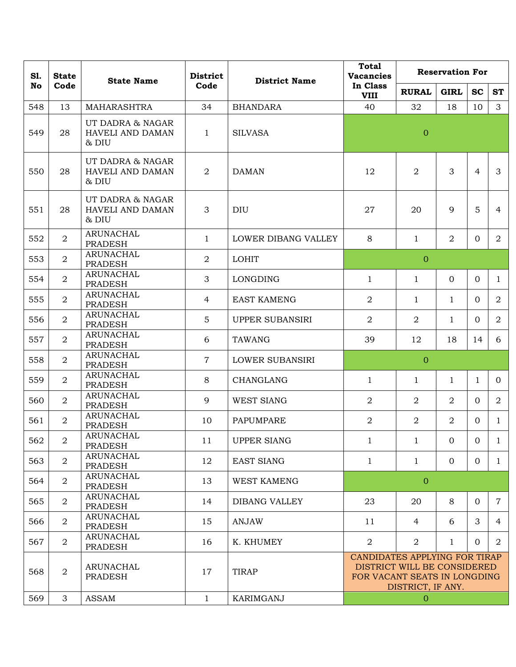| S1.<br><b>State</b> |                | <b>State Name</b>                               | <b>District</b> | <b>District Name</b>   | <b>Total</b><br><b>Vacancies</b>                                                                                  | <b>Reservation For</b> |                |                |                |  |
|---------------------|----------------|-------------------------------------------------|-----------------|------------------------|-------------------------------------------------------------------------------------------------------------------|------------------------|----------------|----------------|----------------|--|
| No                  | Code           |                                                 | Code            |                        | In Class<br><b>VIII</b>                                                                                           | <b>RURAL</b>           | <b>GIRL</b>    | <b>SC</b>      | <b>ST</b>      |  |
| 548                 | 13             | <b>MAHARASHTRA</b>                              | 34              | <b>BHANDARA</b>        | 40                                                                                                                | 32                     | 18             | 10             | $\mathbf{3}$   |  |
| 549                 | 28             | UT DADRA & NAGAR<br>HAVELI AND DAMAN<br>& DIU   | $\mathbf{1}$    | <b>SILVASA</b>         |                                                                                                                   | $\overline{0}$         |                |                |                |  |
| 550                 | 28             | UT DADRA & NAGAR<br>HAVELI AND DAMAN<br>$&$ DIU | $\overline{2}$  | <b>DAMAN</b>           | 12                                                                                                                | $\overline{2}$         | 3              | $\overline{4}$ | 3              |  |
| 551                 | 28             | UT DADRA & NAGAR<br>HAVELI AND DAMAN<br>& DIU   | 3               | <b>DIU</b>             | 27                                                                                                                | 20                     | 9              | 5              | 4              |  |
| 552                 | $\overline{2}$ | ARUNACHAL<br><b>PRADESH</b>                     | $\mathbf{1}$    | LOWER DIBANG VALLEY    | 8                                                                                                                 | 1                      | $\overline{2}$ | $\overline{0}$ | $\overline{2}$ |  |
| 553                 | $\overline{a}$ | <b>ARUNACHAL</b><br><b>PRADESH</b>              | $\overline{a}$  | <b>LOHIT</b>           |                                                                                                                   | $\overline{0}$         |                |                |                |  |
| 554                 | $\overline{a}$ | <b>ARUNACHAL</b><br><b>PRADESH</b>              | 3               | <b>LONGDING</b>        | $\mathbf{1}$                                                                                                      | 1                      | $\Omega$       | $\overline{0}$ | $\mathbf{1}$   |  |
| 555                 | $\overline{2}$ | <b>ARUNACHAL</b><br><b>PRADESH</b>              | 4               | <b>EAST KAMENG</b>     | $\overline{2}$                                                                                                    | 1                      | $\mathbf{1}$   | $\Omega$       | $\overline{2}$ |  |
| 556                 | $\overline{a}$ | <b>ARUNACHAL</b><br><b>PRADESH</b>              | 5               | UPPER SUBANSIRI        | $\overline{2}$                                                                                                    | 2                      | $\mathbf{1}$   | $\mathbf{0}$   | $\overline{2}$ |  |
| 557                 | $\overline{2}$ | <b>ARUNACHAL</b><br><b>PRADESH</b>              | 6               | <b>TAWANG</b>          | 39                                                                                                                | 12                     | 18             | 14             | 6              |  |
| 558                 | $\overline{2}$ | <b>ARUNACHAL</b><br><b>PRADESH</b>              | $\overline{7}$  | <b>LOWER SUBANSIRI</b> |                                                                                                                   | $\overline{0}$         |                |                |                |  |
| 559                 | $\overline{2}$ | <b>ARUNACHAL</b><br><b>PRADESH</b>              | 8               | CHANGLANG              | $\mathbf{1}$                                                                                                      | 1                      | $\mathbf{1}$   | $\mathbf{1}$   | $\overline{0}$ |  |
| 560                 | $\overline{2}$ | <b>ARUNACHAL</b><br><b>PRADESH</b>              | 9               | <b>WEST SIANG</b>      | $\overline{2}$                                                                                                    | $\overline{2}$         | $\overline{2}$ | $\Omega$       | $\overline{2}$ |  |
| 561                 | $\overline{2}$ | <b>ARUNACHAL</b><br><b>PRADESH</b>              | 10              | PAPUMPARE              | $\overline{2}$                                                                                                    | 2                      | $\overline{2}$ | $\overline{0}$ | $\mathbf{1}$   |  |
| 562                 | $\overline{a}$ | <b>ARUNACHAL</b><br><b>PRADESH</b>              | 11              | <b>UPPER SIANG</b>     | 1                                                                                                                 | $\mathbf{1}$           | $\mathbf{0}$   | $\overline{0}$ | $\mathbf{1}$   |  |
| 563                 | $\overline{2}$ | <b>ARUNACHAL</b><br><b>PRADESH</b>              | 12              | <b>EAST SIANG</b>      | $\mathbf{1}$                                                                                                      | $\mathbf{1}$           | $\overline{0}$ | $\overline{0}$ | $\mathbf{1}$   |  |
| 564                 | $\overline{2}$ | ARUNACHAL<br><b>PRADESH</b>                     | 13              | <b>WEST KAMENG</b>     |                                                                                                                   | $\mathbf{0}$           |                |                |                |  |
| 565                 | $\overline{2}$ | ARUNACHAL<br><b>PRADESH</b>                     | 14              | <b>DIBANG VALLEY</b>   | 23                                                                                                                | 20                     | 8              | $\overline{0}$ | $\mathbf 7$    |  |
| 566                 | $\overline{2}$ | <b>ARUNACHAL</b><br><b>PRADESH</b>              | 15              | <b>ANJAW</b>           | 11                                                                                                                | 4                      | 6              | 3              | 4              |  |
| 567                 | $\overline{2}$ | <b>ARUNACHAL</b><br><b>PRADESH</b>              | 16              | K. KHUMEY              | $\overline{2}$                                                                                                    | 2                      | 1              | $\overline{0}$ | 2              |  |
| 568                 | $\overline{a}$ | ARUNACHAL<br><b>PRADESH</b>                     | 17              | <b>TIRAP</b>           | CANDIDATES APPLYING FOR TIRAP<br>DISTRICT WILL BE CONSIDERED<br>FOR VACANT SEATS IN LONGDING<br>DISTRICT, IF ANY. |                        |                |                |                |  |
| 569                 | 3              | ASSAM                                           | $\mathbf{1}$    | KARIMGANJ              |                                                                                                                   | $\overline{0}$         |                |                |                |  |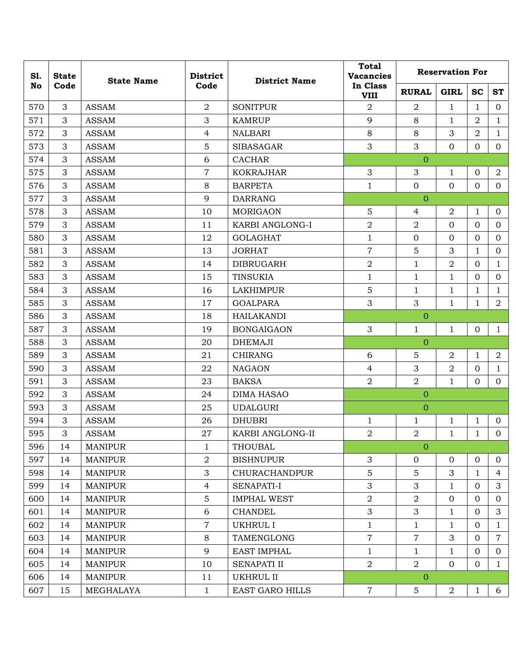| S1. | <b>State</b>   | <b>State Name</b> | <b>District</b>  | <b>District Name</b>   | <b>Total</b><br><b>Vacancies</b> | <b>Reservation For</b> |                  |                |                |  |
|-----|----------------|-------------------|------------------|------------------------|----------------------------------|------------------------|------------------|----------------|----------------|--|
| No  | Code           |                   | Code             |                        | In Class<br><b>VIII</b>          | <b>RURAL</b>           | <b>GIRL</b>      | <b>SC</b>      | <b>ST</b>      |  |
| 570 | $\mathfrak{Z}$ | <b>ASSAM</b>      | $\overline{2}$   | <b>SONITPUR</b>        | $\overline{a}$                   | 2                      | $\mathbf{1}$     | $\mathbf{1}$   | $\overline{0}$ |  |
| 571 | 3              | <b>ASSAM</b>      | 3                | <b>KAMRUP</b>          | 9                                | 8                      | $\mathbf{1}$     | $\overline{2}$ | $\mathbf{1}$   |  |
| 572 | $\mathfrak{Z}$ | <b>ASSAM</b>      | $\overline{4}$   | <b>NALBARI</b>         | $8\,$                            | 8                      | 3                | $\overline{2}$ | $\mathbf{1}$   |  |
| 573 | $\mathfrak{Z}$ | <b>ASSAM</b>      | 5                | <b>SIBASAGAR</b>       | 3                                | 3                      | $\mathbf{0}$     | $\mathbf{0}$   | $\mathbf{0}$   |  |
| 574 | 3              | <b>ASSAM</b>      | 6                | <b>CACHAR</b>          |                                  | $\overline{0}$         |                  |                |                |  |
| 575 | $\mathfrak{Z}$ | <b>ASSAM</b>      | $\overline{7}$   | <b>KOKRAJHAR</b>       | 3                                | 3                      | 1                | $\mathbf{0}$   | $\overline{2}$ |  |
| 576 | 3              | <b>ASSAM</b>      | 8                | <b>BARPETA</b>         | $\mathbf{1}$                     | $\mathbf{0}$           | $\overline{0}$   | $\mathbf{0}$   | $\mathbf{0}$   |  |
| 577 | $\mathfrak{Z}$ | <b>ASSAM</b>      | 9                | <b>DARRANG</b>         |                                  | $\overline{0}$         |                  |                |                |  |
| 578 | $\mathfrak{Z}$ | <b>ASSAM</b>      | 10               | <b>MORIGAON</b>        | 5                                | $\overline{4}$         | $\boldsymbol{2}$ | 1              | $\overline{0}$ |  |
| 579 | 3              | <b>ASSAM</b>      | 11               | KARBI ANGLONG-I        | $\overline{2}$                   | $\overline{2}$         | $\overline{0}$   | $\overline{0}$ | $\mathbf{0}$   |  |
| 580 | $\mathfrak{Z}$ | <b>ASSAM</b>      | 12               | <b>GOLAGHAT</b>        | $\mathbf{1}$                     | $\mathbf 0$            | $\mathbf{0}$     | $\mathbf{0}$   | $\overline{0}$ |  |
| 581 | 3              | <b>ASSAM</b>      | 13               | <b>JORHAT</b>          | $\overline{7}$                   | 5                      | 3                | $\mathbf{1}$   | $\overline{0}$ |  |
| 582 | $\mathfrak{Z}$ | <b>ASSAM</b>      | 14               | <b>DIBRUGARH</b>       | $\overline{2}$                   | $\mathbf{1}$           | $\overline{2}$   | $\mathbf{0}$   | $\mathbf{1}$   |  |
| 583 | 3              | <b>ASSAM</b>      | 15               | <b>TINSUKIA</b>        | $\mathbf{1}$                     | $\mathbf{1}$           | $\mathbf{1}$     | $\mathbf{0}$   | $\overline{0}$ |  |
| 584 | $\mathfrak{Z}$ | <b>ASSAM</b>      | 16               | <b>LAKHIMPUR</b>       | 5                                | $\mathbf{1}$           | $\mathbf{1}$     | $\mathbf{1}$   | $\mathbf{1}$   |  |
| 585 | $\mathfrak{Z}$ | <b>ASSAM</b>      | 17               | <b>GOALPARA</b>        | 3                                | 3                      | $\mathbf{1}$     | $\mathbf{1}$   | $\overline{a}$ |  |
| 586 | 3              | <b>ASSAM</b>      | 18               | <b>HAILAKANDI</b>      |                                  | $\overline{0}$         |                  |                |                |  |
| 587 | $\mathfrak{Z}$ | <b>ASSAM</b>      | 19               | <b>BONGAIGAON</b>      | 3                                | $\mathbf{1}$           | $\mathbf{1}$     | $\mathbf{0}$   | $\mathbf{1}$   |  |
| 588 | $\mathfrak{Z}$ | <b>ASSAM</b>      | 20               | <b>DHEMAJI</b>         |                                  | $\overline{0}$         |                  |                |                |  |
| 589 | $\mathfrak{Z}$ | <b>ASSAM</b>      | 21               | <b>CHIRANG</b>         | 6                                | $\mathbf 5$            | $\overline{2}$   | $\mathbf{1}$   | $\overline{a}$ |  |
| 590 | $\mathfrak{Z}$ | <b>ASSAM</b>      | 22               | <b>NAGAON</b>          | $\overline{4}$                   | 3                      | $\sqrt{2}$       | $\mathbf{0}$   | $\mathbf{1}$   |  |
| 591 | 3              | <b>ASSAM</b>      | 23               | <b>BAKSA</b>           | $\overline{2}$                   | $\overline{2}$         | $\mathbf{1}$     | $\mathbf{0}$   | $\mathbf{0}$   |  |
| 592 | $\mathfrak{Z}$ | <b>ASSAM</b>      | 24               | <b>DIMA HASAO</b>      |                                  | $\overline{0}$         |                  |                |                |  |
| 593 | 3              | <b>ASSAM</b>      | 25               | <b>UDALGURI</b>        |                                  | $\overline{0}$         |                  |                |                |  |
| 594 | 3              | <b>ASSAM</b>      | 26               | <b>DHUBRI</b>          | $\mathbf{1}$                     | 1                      | $\mathbf 1$      | 1              | $\mathbf{0}$   |  |
| 595 | 3              | <b>ASSAM</b>      | 27               | KARBI ANGLONG-II       | $\overline{2}$                   | $\overline{2}$         | $\mathbf{1}$     | $\mathbf{1}$   | $\mathbf{0}$   |  |
| 596 | 14             | <b>MANIPUR</b>    | $\mathbf{1}$     | <b>THOUBAL</b>         |                                  | $\mathbf{0}$           |                  |                |                |  |
| 597 | 14             | <b>MANIPUR</b>    | $\sqrt{2}$       | <b>BISHNUPUR</b>       | 3                                | $\mathbf{0}$           | $\mathbf{0}$     | $\mathbf{0}$   | $\mathbf{0}$   |  |
| 598 | 14             | <b>MANIPUR</b>    | 3                | <b>CHURACHANDPUR</b>   | 5                                | 5                      | 3                | $\mathbf{1}$   | $\overline{4}$ |  |
| 599 | 14             | <b>MANIPUR</b>    | $\overline{4}$   | SENAPATI-I             | 3                                | 3                      | 1                | $\overline{0}$ | 3              |  |
| 600 | 14             | <b>MANIPUR</b>    | $\overline{5}$   | <b>IMPHAL WEST</b>     | $\overline{2}$                   | $\overline{2}$         | $\mathbf{0}$     | $\mathbf{0}$   | $\mathbf{0}$   |  |
| 601 | 14             | <b>MANIPUR</b>    | 6                | <b>CHANDEL</b>         | 3                                | 3                      | $\mathbf{1}$     | $\overline{0}$ | 3              |  |
| 602 | 14             | <b>MANIPUR</b>    | $\boldsymbol{7}$ | <b>UKHRUL I</b>        | $1\,$                            | $\mathbf{1}$           | $\mathbf 1$      | $\overline{0}$ | $\mathbf{1}$   |  |
| 603 | 14             | <b>MANIPUR</b>    | 8                | TAMENGLONG             | $\overline{7}$                   | $\overline{7}$         | 3                | $\Omega$       | $\overline{7}$ |  |
| 604 | 14             | <b>MANIPUR</b>    | 9                | <b>EAST IMPHAL</b>     | $\mathbf{1}$                     | $\mathbf{1}$           | 1                | $\overline{0}$ | $\overline{0}$ |  |
| 605 | 14             | <b>MANIPUR</b>    | 10               | <b>SENAPATI II</b>     | $\overline{2}$                   | $\overline{2}$         | $\overline{0}$   | $\mathbf{0}$   | $\mathbf{1}$   |  |
| 606 | 14             | <b>MANIPUR</b>    | 11               | UKHRUL II              |                                  | $\mathbf{0}$           |                  |                |                |  |
| 607 | 15             | MEGHALAYA         | $\mathbf{1}$     | <b>EAST GARO HILLS</b> | $\overline{7}$                   | 5                      | $\overline{2}$   | $\mathbf{1}$   | 6              |  |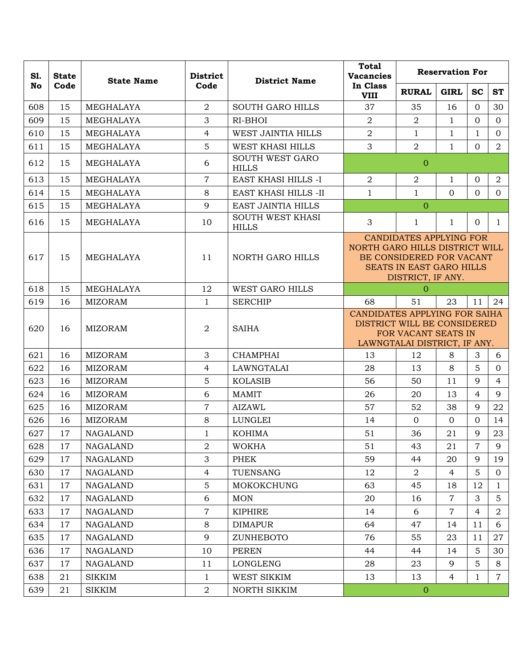| S1. | <b>State</b> | <b>State Name</b> | <b>District</b><br>Code | <b>District Name</b>                    | <b>Total</b><br><b>Vacancies</b>                                                                                                              | <b>Reservation For</b> |                |                |                |  |
|-----|--------------|-------------------|-------------------------|-----------------------------------------|-----------------------------------------------------------------------------------------------------------------------------------------------|------------------------|----------------|----------------|----------------|--|
| No  | Code         |                   |                         |                                         | In Class<br><b>VIII</b>                                                                                                                       | <b>RURAL</b>           | <b>GIRL</b>    | <b>SC</b>      | <b>ST</b>      |  |
| 608 | 15           | MEGHALAYA         | $\overline{a}$          | <b>SOUTH GARO HILLS</b>                 | 37                                                                                                                                            | 35                     | 16             | $\Omega$       | 30             |  |
| 609 | 15           | MEGHALAYA         | 3                       | RI-BHOI                                 | $\overline{2}$                                                                                                                                | $\overline{2}$         | $\mathbf{1}$   | $\Omega$       | $\overline{0}$ |  |
| 610 | 15           | MEGHALAYA         | $\overline{4}$          | <b>WEST JAINTIA HILLS</b>               | $\overline{2}$                                                                                                                                | 1                      | $\mathbf{1}$   | $\mathbf{1}$   | $\overline{0}$ |  |
| 611 | 15           | MEGHALAYA         | 5                       | WEST KHASI HILLS                        | 3                                                                                                                                             | $\overline{2}$         | $\mathbf{1}$   | $\mathbf{0}$   | $\overline{a}$ |  |
| 612 | 15           | MEGHALAYA         | 6                       | <b>SOUTH WEST GARO</b><br><b>HILLS</b>  |                                                                                                                                               | $\mathbf{0}$           |                |                |                |  |
| 613 | 15           | MEGHALAYA         | $\overline{7}$          | EAST KHASI HILLS -I                     | $\overline{2}$                                                                                                                                | $\overline{2}$         | $\mathbf{1}$   | $\mathbf{0}$   | $\overline{a}$ |  |
| 614 | 15           | MEGHALAYA         | 8                       | <b>EAST KHASI HILLS -II</b>             | $\mathbf 1$                                                                                                                                   | $\mathbf{1}$           | $\Omega$       | $\Omega$       | $\overline{0}$ |  |
| 615 | 15           | MEGHALAYA         | 9                       | EAST JAINTIA HILLS                      |                                                                                                                                               | $\overline{0}$         |                |                |                |  |
| 616 | 15           | MEGHALAYA         | 10                      | <b>SOUTH WEST KHASI</b><br><b>HILLS</b> | 3                                                                                                                                             | 1                      | $\mathbf{1}$   | $\Omega$       | 1              |  |
| 617 | 15           | MEGHALAYA         | 11                      | NORTH GARO HILLS                        | <b>CANDIDATES APPLYING FOR</b><br>NORTH GARO HILLS DISTRICT WILL<br>BE CONSIDERED FOR VACANT<br>SEATS IN EAST GARO HILLS<br>DISTRICT, IF ANY. |                        |                |                |                |  |
| 618 | 15           | MEGHALAYA         | 12                      | WEST GARO HILLS                         |                                                                                                                                               | $\Omega$               |                |                |                |  |
| 619 | 16           | <b>MIZORAM</b>    | $\mathbf{1}$            | <b>SERCHIP</b>                          | 68                                                                                                                                            | 51                     | 23             | 11             | 24             |  |
| 620 | 16           | <b>MIZORAM</b>    | $\overline{a}$          | <b>SAIHA</b>                            | CANDIDATES APPLYING FOR SAIHA<br>DISTRICT WILL BE CONSIDERED<br>FOR VACANT SEATS IN<br>LAWNGTALAI DISTRICT, IF ANY.                           |                        |                |                |                |  |
| 621 | 16           | <b>MIZORAM</b>    | 3                       | <b>CHAMPHAI</b>                         | 13                                                                                                                                            | 12                     | $8\,$          | 3              | 6              |  |
| 622 | 16           | <b>MIZORAM</b>    | $\overline{4}$          | LAWNGTALAI                              | 28                                                                                                                                            | 13                     | 8              | 5              | $\overline{0}$ |  |
| 623 | 16           | <b>MIZORAM</b>    | 5                       | <b>KOLASIB</b>                          | 56                                                                                                                                            | 50                     | 11             | 9              | $\overline{4}$ |  |
| 624 | 16           | <b>MIZORAM</b>    | 6                       | <b>MAMIT</b>                            | 26                                                                                                                                            | 20                     | 13             | 4              | 9              |  |
| 625 | 16           | <b>MIZORAM</b>    | $\overline{7}$          | <b>AIZAWL</b>                           | 57                                                                                                                                            | 52                     | 38             | 9              | 22             |  |
| 626 | 16           | <b>MIZORAM</b>    | 8                       | LUNGLEI                                 | 14                                                                                                                                            | $\Omega$               | $\Omega$       | $\Omega$       | 14             |  |
| 627 | 17           | <b>NAGALAND</b>   | $\mathbf{1}$            | <b>KOHIMA</b>                           | 51                                                                                                                                            | 36                     | 21             | 9              | 23             |  |
| 628 | 17           | <b>NAGALAND</b>   | $\overline{a}$          | <b>WOKHA</b>                            | 51                                                                                                                                            | 43                     | 21             | $\overline{7}$ | 9              |  |
| 629 | 17           | <b>NAGALAND</b>   | 3                       | PHEK                                    | 59                                                                                                                                            | 44                     | 20             | 9              | 19             |  |
| 630 | 17           | <b>NAGALAND</b>   | $\overline{4}$          | TUENSANG                                | 12                                                                                                                                            | $\overline{2}$         | $\overline{4}$ | 5              | $\overline{0}$ |  |
| 631 | 17           | <b>NAGALAND</b>   | $\mathbf 5$             | <b>MOKOKCHUNG</b>                       | 63                                                                                                                                            | 45                     | 18             | 12             | 1              |  |
| 632 | 17           | <b>NAGALAND</b>   | 6                       | <b>MON</b>                              | 20                                                                                                                                            | 16                     | $\overline{7}$ | 3              | 5              |  |
| 633 | 17           | <b>NAGALAND</b>   | $\overline{7}$          | <b>KIPHIRE</b>                          | 14                                                                                                                                            | 6                      | $\overline{7}$ | 4              | 2              |  |
| 634 | 17           | <b>NAGALAND</b>   | $8\,$                   | <b>DIMAPUR</b>                          | 64                                                                                                                                            | 47                     | 14             | 11             | 6              |  |
| 635 | 17           | <b>NAGALAND</b>   | 9                       | ZUNHEBOTO                               | 76                                                                                                                                            | 55                     | 23             | 11             | 27             |  |
| 636 | 17           | <b>NAGALAND</b>   | 10                      | <b>PEREN</b>                            | 44                                                                                                                                            | 44                     | 14             | 5              | 30             |  |
| 637 | 17           | <b>NAGALAND</b>   | 11                      | <b>LONGLENG</b>                         | 28                                                                                                                                            | 23                     | 9              | 5              | 8              |  |
| 638 | 21           | <b>SIKKIM</b>     | 1                       | WEST SIKKIM                             | 13                                                                                                                                            | 13                     | 4              | 1              | $\overline{7}$ |  |
| 639 | 21           | <b>SIKKIM</b>     | $\boldsymbol{2}$        | NORTH SIKKIM                            |                                                                                                                                               | $\boldsymbol{0}$       |                |                |                |  |